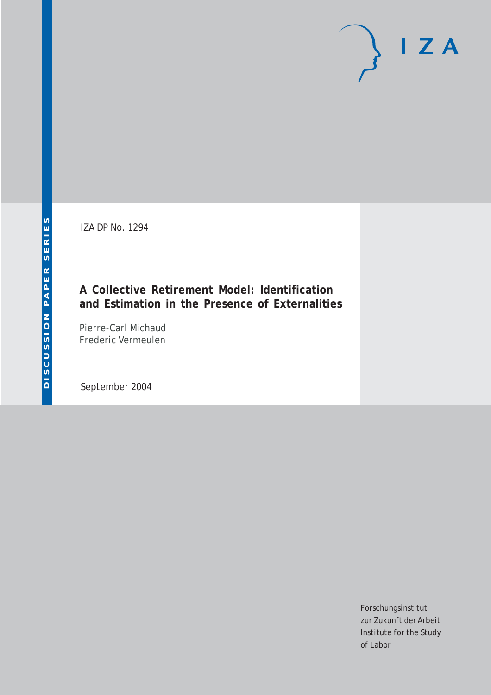IZA DP No. 1294

# **A Collective Retirement Model: Identification and Estimation in the Presence of Externalities**

Pierre-Carl Michaud Frederic Vermeulen

September 2004

Forschungsinstitut zur Zukunft der Arbeit Institute for the Study of Labor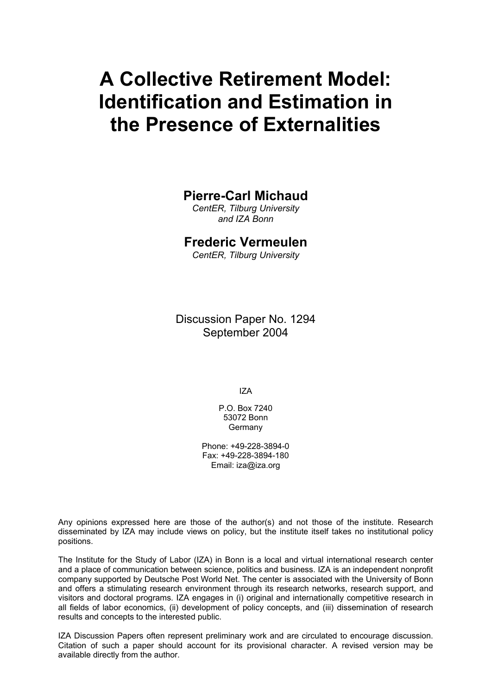# **A Collective Retirement Model: Identification and Estimation in the Presence of Externalities**

# **Pierre-Carl Michaud**

*CentER, Tilburg University and IZA Bonn*

# **Frederic Vermeulen**

*CentER, Tilburg University*

Discussion Paper No. 1294 September 2004

IZA

P.O. Box 7240 53072 Bonn **Germany** 

Phone: +49-228-3894-0 Fax: +49-228-3894-180 Email: [iza@iza.org](mailto:iza@iza.org)

Any opinions expressed here are those of the author(s) and not those of the institute. Research disseminated by IZA may include views on policy, but the institute itself takes no institutional policy positions.

The Institute for the Study of Labor (IZA) in Bonn is a local and virtual international research center and a place of communication between science, politics and business. IZA is an independent nonprofit company supported by Deutsche Post World Net. The center is associated with the University of Bonn and offers a stimulating research environment through its research networks, research support, and visitors and doctoral programs. IZA engages in (i) original and internationally competitive research in all fields of labor economics, (ii) development of policy concepts, and (iii) dissemination of research results and concepts to the interested public.

IZA Discussion Papers often represent preliminary work and are circulated to encourage discussion. Citation of such a paper should account for its provisional character. A revised version may be available directly from the author.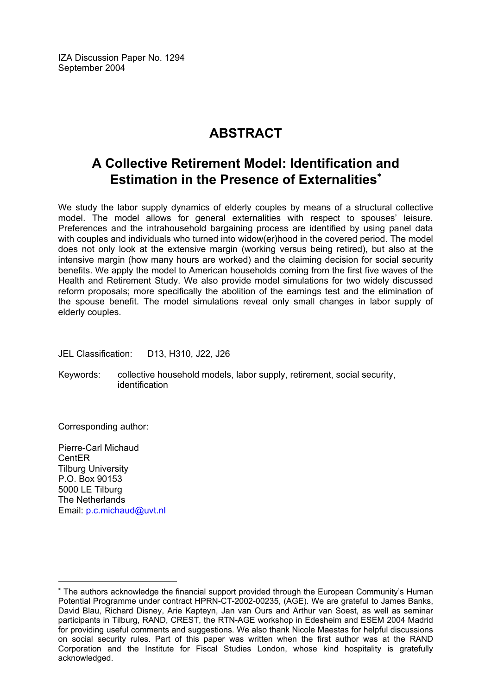IZA Discussion Paper No. 1294 September 2004

# **ABSTRACT**

# **A Collective Retirement Model: Identification and Estimation in the Presence of Externalities**[∗](#page-2-0)

We study the labor supply dynamics of elderly couples by means of a structural collective model. The model allows for general externalities with respect to spouses' leisure. Preferences and the intrahousehold bargaining process are identified by using panel data with couples and individuals who turned into widow(er)hood in the covered period. The model does not only look at the extensive margin (working versus being retired), but also at the intensive margin (how many hours are worked) and the claiming decision for social security benefits. We apply the model to American households coming from the first five waves of the Health and Retirement Study. We also provide model simulations for two widely discussed reform proposals; more specifically the abolition of the earnings test and the elimination of the spouse benefit. The model simulations reveal only small changes in labor supply of elderly couples.

JEL Classification: D13, H310, J22, J26

Keywords: collective household models, labor supply, retirement, social security, identification

Corresponding author:

Pierre-Carl Michaud CentER Tilburg University P.O. Box 90153 5000 LE Tilburg The Netherlands Email: [p.c.michaud@uvt.nl](mailto:p.c.michaud@uvt.nl)

<span id="page-2-0"></span><sup>∗</sup> The authors acknowledge the financial support provided through the European Community's Human Potential Programme under contract HPRN-CT-2002-00235, (AGE). We are grateful to James Banks, David Blau, Richard Disney, Arie Kapteyn, Jan van Ours and Arthur van Soest, as well as seminar participants in Tilburg, RAND, CREST, the RTN-AGE workshop in Edesheim and ESEM 2004 Madrid for providing useful comments and suggestions. We also thank Nicole Maestas for helpful discussions on social security rules. Part of this paper was written when the first author was at the RAND Corporation and the Institute for Fiscal Studies London, whose kind hospitality is gratefully acknowledged.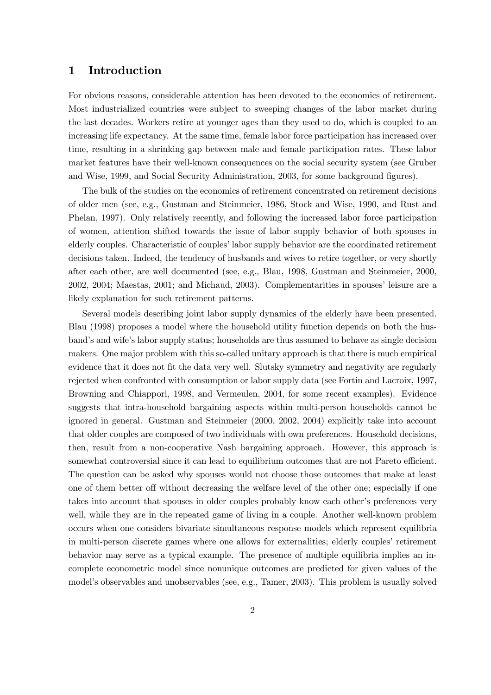# 1 Introduction

For obvious reasons, considerable attention has been devoted to the economics of retirement. Most industrialized countries were subject to sweeping changes of the labor market during the last decades. Workers retire at younger ages than they used to do, which is coupled to an increasing life expectancy. At the same time, female labor force participation has increased over time, resulting in a shrinking gap between male and female participation rates. These labor market features have their well-known consequences on the social security system (see Gruber and Wise, 1999, and Social Security Administration, 2003, for some background figures).

The bulk of the studies on the economics of retirement concentrated on retirement decisions of older men (see, e.g., Gustman and Steinmeier, 1986, Stock and Wise, 1990, and Rust and Phelan, 1997). Only relatively recently, and following the increased labor force participation of women, attention shifted towards the issue of labor supply behavior of both spouses in elderly couples. Characteristic of couples' labor supply behavior are the coordinated retirement decisions taken. Indeed, the tendency of husbands and wives to retire together, or very shortly after each other, are well documented (see, e.g., Blau, 1998, Gustman and Steinmeier, 2000, 2002, 2004; Maestas, 2001; and Michaud, 2003). Complementarities in spouses' leisure are a likely explanation for such retirement patterns.

Several models describing joint labor supply dynamics of the elderly have been presented. Blau (1998) proposes a model where the household utility function depends on both the husband's and wife's labor supply status; households are thus assumed to behave as single decision makers. One major problem with this so-called unitary approach is that there is much empirical evidence that it does not fit the data very well. Slutsky symmetry and negativity are regularly rejected when confronted with consumption or labor supply data (see Fortin and Lacroix, 1997, Browning and Chiappori, 1998, and Vermeulen, 2004, for some recent examples). Evidence suggests that intra-household bargaining aspects within multi-person households cannot be ignored in general. Gustman and Steinmeier (2000, 2002, 2004) explicitly take into account that older couples are composed of two individuals with own preferences. Household decisions, then, result from a non-cooperative Nash bargaining approach. However, this approach is somewhat controversial since it can lead to equilibrium outcomes that are not Pareto efficient. The question can be asked why spouses would not choose those outcomes that make at least one of them better off without decreasing the welfare level of the other one; especially if one takes into account that spouses in older couples probably know each other's preferences very well, while they are in the repeated game of living in a couple. Another well-known problem occurs when one considers bivariate simultaneous response models which represent equilibria in multi-person discrete games where one allows for externalities; elderly couples' retirement behavior may serve as a typical example. The presence of multiple equilibria implies an incomplete econometric model since nonunique outcomes are predicted for given values of the model's observables and unobservables (see, e.g., Tamer, 2003). This problem is usually solved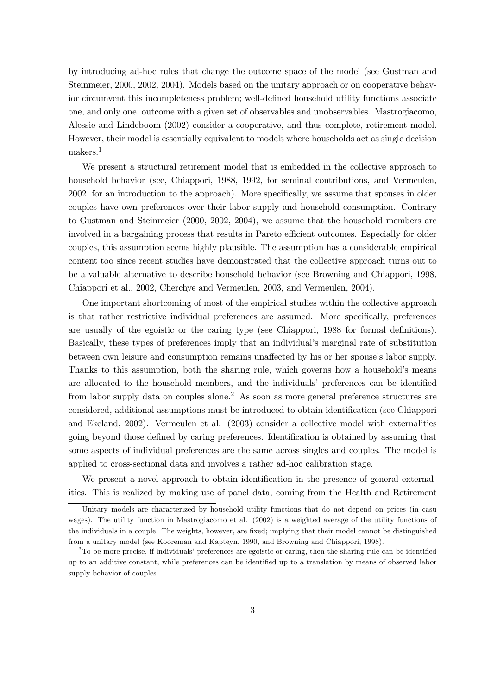by introducing ad-hoc rules that change the outcome space of the model (see Gustman and Steinmeier, 2000, 2002, 2004). Models based on the unitary approach or on cooperative behavior circumvent this incompleteness problem; well-defined household utility functions associate one, and only one, outcome with a given set of observables and unobservables. Mastrogiacomo, Alessie and Lindeboom (2002) consider a cooperative, and thus complete, retirement model. However, their model is essentially equivalent to models where households act as single decision makers.<sup>1</sup>

We present a structural retirement model that is embedded in the collective approach to household behavior (see, Chiappori, 1988, 1992, for seminal contributions, and Vermeulen, 2002, for an introduction to the approach). More specifically, we assume that spouses in older couples have own preferences over their labor supply and household consumption. Contrary to Gustman and Steinmeier (2000, 2002, 2004), we assume that the household members are involved in a bargaining process that results in Pareto efficient outcomes. Especially for older couples, this assumption seems highly plausible. The assumption has a considerable empirical content too since recent studies have demonstrated that the collective approach turns out to be a valuable alternative to describe household behavior (see Browning and Chiappori, 1998, Chiappori et al., 2002, Cherchye and Vermeulen, 2003, and Vermeulen, 2004).

One important shortcoming of most of the empirical studies within the collective approach is that rather restrictive individual preferences are assumed. More specifically, preferences are usually of the egoistic or the caring type (see Chiappori, 1988 for formal definitions). Basically, these types of preferences imply that an individual's marginal rate of substitution between own leisure and consumption remains unaffected by his or her spouse's labor supply. Thanks to this assumption, both the sharing rule, which governs how a household's means are allocated to the household members, and the individuals' preferences can be identified from labor supply data on couples alone.<sup>2</sup> As soon as more general preference structures are considered, additional assumptions must be introduced to obtain identification (see Chiappori and Ekeland, 2002). Vermeulen et al. (2003) consider a collective model with externalities going beyond those defined by caring preferences. Identification is obtained by assuming that some aspects of individual preferences are the same across singles and couples. The model is applied to cross-sectional data and involves a rather ad-hoc calibration stage.

We present a novel approach to obtain identification in the presence of general externalities. This is realized by making use of panel data, coming from the Health and Retirement

<sup>&</sup>lt;sup>1</sup>Unitary models are characterized by household utility functions that do not depend on prices (in casu wages). The utility function in Mastrogiacomo et al. (2002) is a weighted average of the utility functions of the individuals in a couple. The weights, however, are fixed; implying that their model cannot be distinguished from a unitary model (see Kooreman and Kapteyn, 1990, and Browning and Chiappori, 1998).

<sup>&</sup>lt;sup>2</sup>To be more precise, if individuals' preferences are egoistic or caring, then the sharing rule can be identified up to an additive constant, while preferences can be identified up to a translation by means of observed labor supply behavior of couples.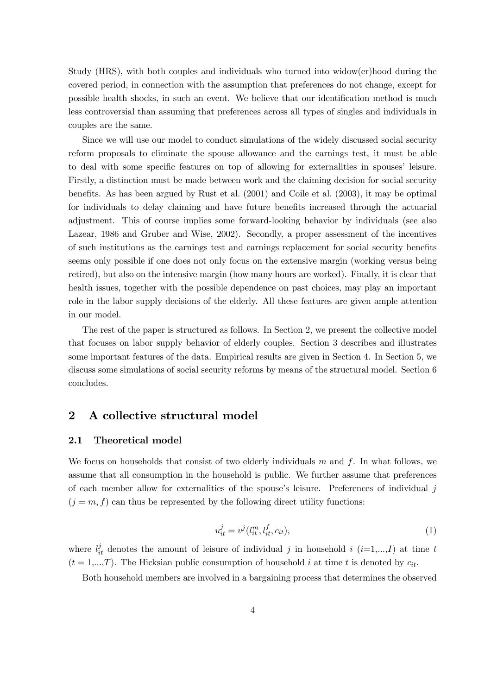Study (HRS), with both couples and individuals who turned into widow(er)hood during the covered period, in connection with the assumption that preferences do not change, except for possible health shocks, in such an event. We believe that our identification method is much less controversial than assuming that preferences across all types of singles and individuals in couples are the same.

Since we will use our model to conduct simulations of the widely discussed social security reform proposals to eliminate the spouse allowance and the earnings test, it must be able to deal with some specific features on top of allowing for externalities in spouses' leisure. Firstly, a distinction must be made between work and the claiming decision for social security benefits. As has been argued by Rust et al. (2001) and Coile et al. (2003), it may be optimal for individuals to delay claiming and have future benefits increased through the actuarial adjustment. This of course implies some forward-looking behavior by individuals (see also Lazear, 1986 and Gruber and Wise, 2002). Secondly, a proper assessment of the incentives of such institutions as the earnings test and earnings replacement for social security benefits seems only possible if one does not only focus on the extensive margin (working versus being retired), but also on the intensive margin (how many hours are worked). Finally, it is clear that health issues, together with the possible dependence on past choices, may play an important role in the labor supply decisions of the elderly. All these features are given ample attention in our model.

The rest of the paper is structured as follows. In Section 2, we present the collective model that focuses on labor supply behavior of elderly couples. Section 3 describes and illustrates some important features of the data. Empirical results are given in Section 4. In Section 5, we discuss some simulations of social security reforms by means of the structural model. Section 6 concludes.

# 2 A collective structural model

#### 2.1 Theoretical model

We focus on households that consist of two elderly individuals  $m$  and  $f$ . In what follows, we assume that all consumption in the household is public. We further assume that preferences of each member allow for externalities of the spouse's leisure. Preferences of individual  $j$  $(j = m, f)$  can thus be represented by the following direct utility functions:

$$
u_{it}^{j} = v^{j} (l_{it}^{m}, l_{it}^{f}, c_{it}), \qquad (1)
$$

where  $l_{it}^{j}$  denotes the amount of leisure of individual j in household i  $(i=1,...,I)$  at time t  $(t = 1,...,T)$ . The Hicksian public consumption of household i at time t is denoted by  $c_{it}$ .

Both household members are involved in a bargaining process that determines the observed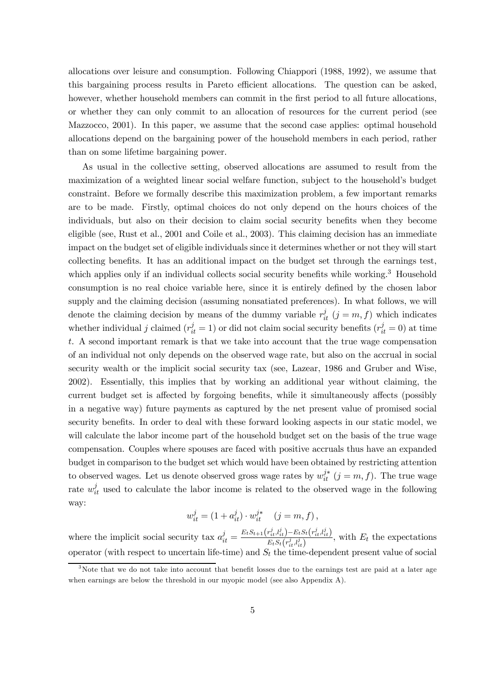allocations over leisure and consumption. Following Chiappori (1988, 1992), we assume that this bargaining process results in Pareto efficient allocations. The question can be asked, however, whether household members can commit in the first period to all future allocations, or whether they can only commit to an allocation of resources for the current period (see Mazzocco, 2001). In this paper, we assume that the second case applies: optimal household allocations depend on the bargaining power of the household members in each period, rather than on some lifetime bargaining power.

As usual in the collective setting, observed allocations are assumed to result from the maximization of a weighted linear social welfare function, subject to the household's budget constraint. Before we formally describe this maximization problem, a few important remarks are to be made. Firstly, optimal choices do not only depend on the hours choices of the individuals, but also on their decision to claim social security benefits when they become eligible (see, Rust et al., 2001 and Coile et al., 2003). This claiming decision has an immediate impact on the budget set of eligible individuals since it determines whether or not they will start collecting benefits. It has an additional impact on the budget set through the earnings test, which applies only if an individual collects social security benefits while working.<sup>3</sup> Household consumption is no real choice variable here, since it is entirely defined by the chosen labor supply and the claiming decision (assuming nonsatiated preferences). In what follows, we will denote the claiming decision by means of the dummy variable  $r_{it}^{j}$   $(j = m, f)$  which indicates whether individual j claimed  $(r_{it}^j = 1)$  or did not claim social security benefits  $(r_{it}^j = 0)$  at time t. A second important remark is that we take into account that the true wage compensation of an individual not only depends on the observed wage rate, but also on the accrual in social security wealth or the implicit social security tax (see, Lazear, 1986 and Gruber and Wise, 2002). Essentially, this implies that by working an additional year without claiming, the current budget set is affected by forgoing benefits, while it simultaneously affects (possibly in a negative way) future payments as captured by the net present value of promised social security benefits. In order to deal with these forward looking aspects in our static model, we will calculate the labor income part of the household budget set on the basis of the true wage compensation. Couples where spouses are faced with positive accruals thus have an expanded budget in comparison to the budget set which would have been obtained by restricting attention to observed wages. Let us denote observed gross wage rates by  $w_{it}^{j*}$   $(j = m, f)$ . The true wage rate  $w_{it}^{j}$  used to calculate the labor income is related to the observed wage in the following way:

$$
w_{it}^j = (1 + a_{it}^j) \cdot w_{it}^{j*} \quad (j = m, f),
$$

where the implicit social security tax  $a_{it}^j = \frac{E_t S_{t+1}(r_{it}^j, l_{it}^j) - E_t S_t(r_{it}^j, l_{it}^j)}{E_t S_t(r_{it}^j, l_{it}^j)}$  $\frac{E_t E_t(i_t) - E_t E_t(i_t, i_t, i_t)}{E_t E_t(r_{i_t}^j, i_{i_t}^j)}$ , with  $E_t$  the expectations operator (with respect to uncertain life-time) and  $S_t$  the time-dependent present value of social

<sup>&</sup>lt;sup>3</sup>Note that we do not take into account that benefit losses due to the earnings test are paid at a later age when earnings are below the threshold in our myopic model (see also Appendix A).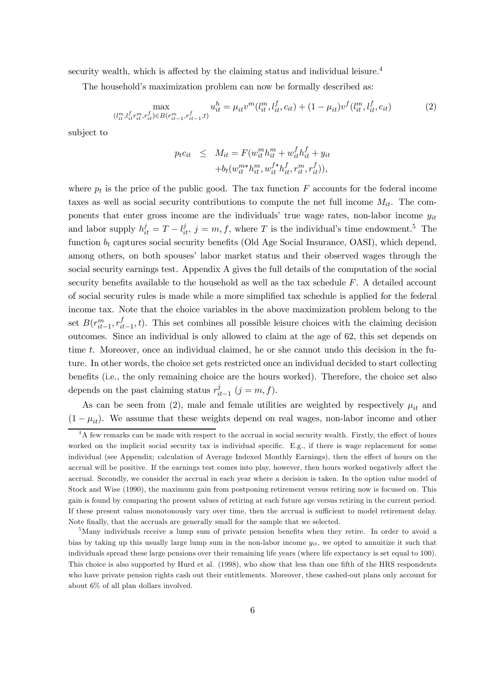security wealth, which is affected by the claiming status and individual leisure.<sup>4</sup>

The household's maximization problem can now be formally described as:

$$
\max_{(l_{it}^m, l_{it}^f r_{it}^m, r_{it}^f) \in B(r_{it-1}^m, r_{it-1}^f, t)} u_{it}^h = \mu_{it} v^m(l_{it}^m, l_{it}^f, c_{it}) + (1 - \mu_{it}) v^f(l_{it}^m, l_{it}^f, c_{it})
$$
(2)

subject to

$$
p_t c_{it} \leq M_{it} = F(w_{it}^m h_{it}^m + w_{it}^f h_{it}^f + y_{it}) + b_t(w_{it}^{m*} h_{it}^m, w_{it}^{f*} h_{it}^f, r_{it}^m, r_{it}^f)),
$$

where  $p_t$  is the price of the public good. The tax function  $F$  accounts for the federal income taxes as well as social security contributions to compute the net full income  $M_{it}$ . The components that enter gross income are the individuals' true wage rates, non-labor income  $y_{it}$ and labor supply  $h_{it}^j = T - l_{it}^j$ ,  $j = m, f$ , where T is the individual's time endowment.<sup>5</sup> The function  $b_t$  captures social security benefits (Old Age Social Insurance, OASI), which depend, among others, on both spouses' labor market status and their observed wages through the social security earnings test. Appendix A gives the full details of the computation of the social security benefits available to the household as well as the tax schedule  $F$ . A detailed account of social security rules is made while a more simplified tax schedule is applied for the federal income tax. Note that the choice variables in the above maximization problem belong to the set  $B(r_{it-1}^m, r_{it-1}^f, t)$ . This set combines all possible leisure choices with the claiming decision outcomes. Since an individual is only allowed to claim at the age of 62, this set depends on time t. Moreover, once an individual claimed, he or she cannot undo this decision in the future. In other words, the choice set gets restricted once an individual decided to start collecting benefits (i.e., the only remaining choice are the hours worked). Therefore, the choice set also depends on the past claiming status  $r_{it-1}^j$  (j = m, f).

As can be seen from (2), male and female utilities are weighted by respectively  $\mu_{it}$  and  $(1 - \mu_{it})$ . We assume that these weights depend on real wages, non-labor income and other

<sup>&</sup>lt;sup>4</sup>A few remarks can be made with respect to the accrual in social security wealth. Firstly, the effect of hours worked on the implicit social security tax is individual specific. E.g., if there is wage replacement for some individual (see Appendix; calculation of Average Indexed Monthly Earnings), then the effect of hours on the accrual will be positive. If the earnings test comes into play, however, then hours worked negatively affect the accrual. Secondly, we consider the accrual in each year where a decision is taken. In the option value model of Stock and Wise (1990), the maximum gain from postponing retirement versus retiring now is focused on. This gain is found by comparing the present values of retiring at each future age versus retiring in the current period. If these present values monotonously vary over time, then the accrual is sufficient to model retirement delay. Note finally, that the accruals are generally small for the sample that we selected.

<sup>5</sup>Many individuals receive a lump sum of private pension benefits when they retire. In order to avoid a bias by taking up this usually large lump sum in the non-labor income  $y_{it}$ , we opted to annuitize it such that individuals spread these large pensions over their remaining life years (where life expectancy is set equal to 100). This choice is also supported by Hurd et al. (1998), who show that less than one fifth of the HRS respondents who have private pension rights cash out their entitlements. Moreover, these cashed-out plans only account for about 6% of all plan dollars involved.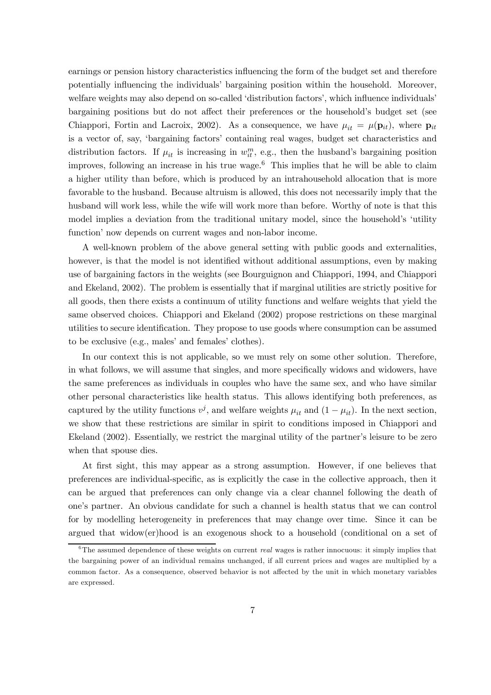earnings or pension history characteristics influencing the form of the budget set and therefore potentially influencing the individuals' bargaining position within the household. Moreover, welfare weights may also depend on so-called 'distribution factors', which influence individuals' bargaining positions but do not affect their preferences or the household's budget set (see Chiappori, Fortin and Lacroix, 2002). As a consequence, we have  $\mu_{it} = \mu(\mathbf{p}_{it})$ , where  $\mathbf{p}_{it}$ is a vector of, say, 'bargaining factors' containing real wages, budget set characteristics and distribution factors. If  $\mu_{it}$  is increasing in  $w_{it}^m$ , e.g., then the husband's bargaining position improves, following an increase in his true wage.<sup>6</sup> This implies that he will be able to claim a higher utility than before, which is produced by an intrahousehold allocation that is more favorable to the husband. Because altruism is allowed, this does not necessarily imply that the husband will work less, while the wife will work more than before. Worthy of note is that this model implies a deviation from the traditional unitary model, since the household's 'utility function' now depends on current wages and non-labor income.

A well-known problem of the above general setting with public goods and externalities, however, is that the model is not identified without additional assumptions, even by making use of bargaining factors in the weights (see Bourguignon and Chiappori, 1994, and Chiappori and Ekeland, 2002). The problem is essentially that if marginal utilities are strictly positive for all goods, then there exists a continuum of utility functions and welfare weights that yield the same observed choices. Chiappori and Ekeland (2002) propose restrictions on these marginal utilities to secure identification. They propose to use goods where consumption can be assumed to be exclusive (e.g., males' and females' clothes).

In our context this is not applicable, so we must rely on some other solution. Therefore, in what follows, we will assume that singles, and more specifically widows and widowers, have the same preferences as individuals in couples who have the same sex, and who have similar other personal characteristics like health status. This allows identifying both preferences, as captured by the utility functions  $v^j$ , and welfare weights  $\mu_{it}$  and  $(1 - \mu_{it})$ . In the next section, we show that these restrictions are similar in spirit to conditions imposed in Chiappori and Ekeland (2002). Essentially, we restrict the marginal utility of the partner's leisure to be zero when that spouse dies.

At first sight, this may appear as a strong assumption. However, if one believes that preferences are individual-specific, as is explicitly the case in the collective approach, then it can be argued that preferences can only change via a clear channel following the death of one's partner. An obvious candidate for such a channel is health status that we can control for by modelling heterogeneity in preferences that may change over time. Since it can be argued that widow(er)hood is an exogenous shock to a household (conditional on a set of

 $6$ The assumed dependence of these weights on current *real* wages is rather innocuous: it simply implies that the bargaining power of an individual remains unchanged, if all current prices and wages are multiplied by a common factor. As a consequence, observed behavior is not affected by the unit in which monetary variables are expressed.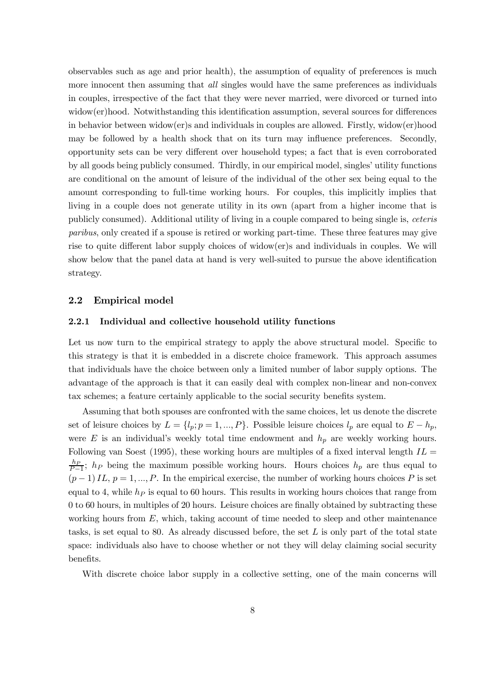observables such as age and prior health), the assumption of equality of preferences is much more innocent then assuming that *all* singles would have the same preferences as individuals in couples, irrespective of the fact that they were never married, were divorced or turned into widow(er)hood. Notwithstanding this identification assumption, several sources for differences in behavior between widow(er)s and individuals in couples are allowed. Firstly, widow(er)hood may be followed by a health shock that on its turn may influence preferences. Secondly, opportunity sets can be very different over household types; a fact that is even corroborated by all goods being publicly consumed. Thirdly, in our empirical model, singles' utility functions are conditional on the amount of leisure of the individual of the other sex being equal to the amount corresponding to full-time working hours. For couples, this implicitly implies that living in a couple does not generate utility in its own (apart from a higher income that is publicly consumed). Additional utility of living in a couple compared to being single is, ceteris paribus, only created if a spouse is retired or working part-time. These three features may give rise to quite different labor supply choices of widow(er)s and individuals in couples. We will show below that the panel data at hand is very well-suited to pursue the above identification strategy.

#### 2.2 Empirical model

#### 2.2.1 Individual and collective household utility functions

Let us now turn to the empirical strategy to apply the above structural model. Specific to this strategy is that it is embedded in a discrete choice framework. This approach assumes that individuals have the choice between only a limited number of labor supply options. The advantage of the approach is that it can easily deal with complex non-linear and non-convex tax schemes; a feature certainly applicable to the social security benefits system.

Assuming that both spouses are confronted with the same choices, let us denote the discrete set of leisure choices by  $L = \{l_p; p = 1, ..., P\}$ . Possible leisure choices  $l_p$  are equal to  $E - h_p$ , were E is an individual's weekly total time endowment and  $h_p$  are weekly working hours. Following van Soest (1995), these working hours are multiples of a fixed interval length  $IL =$  $\frac{hp}{P-1}$ ;  $h_P$  being the maximum possible working hours. Hours choices  $h_p$  are thus equal to  $(p-1)IL, p = 1, ..., P$ . In the empirical exercise, the number of working hours choices P is set equal to 4, while  $h<sub>P</sub>$  is equal to 60 hours. This results in working hours choices that range from 0 to 60 hours, in multiples of 20 hours. Leisure choices are finally obtained by subtracting these working hours from  $E$ , which, taking account of time needed to sleep and other maintenance tasks, is set equal to 80. As already discussed before, the set  $L$  is only part of the total state space: individuals also have to choose whether or not they will delay claiming social security benefits.

With discrete choice labor supply in a collective setting, one of the main concerns will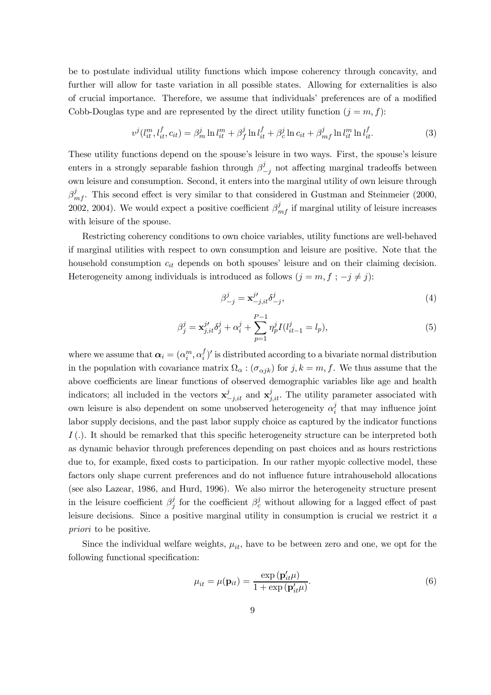be to postulate individual utility functions which impose coherency through concavity, and further will allow for taste variation in all possible states. Allowing for externalities is also of crucial importance. Therefore, we assume that individuals' preferences are of a modified Cobb-Douglas type and are represented by the direct utility function  $(j = m, f)$ :

$$
v^{j}(l_{it}^{m}, l_{it}^{f}, c_{it}) = \beta_{m}^{j} \ln l_{it}^{m} + \beta_{f}^{j} \ln l_{it}^{f} + \beta_{c}^{j} \ln c_{it} + \beta_{mf}^{j} \ln l_{it}^{m} \ln l_{it}^{f}.
$$
 (3)

These utility functions depend on the spouse's leisure in two ways. First, the spouse's leisure enters in a strongly separable fashion through  $\beta^j_{-j}$  not affecting marginal tradeoffs between own leisure and consumption. Second, it enters into the marginal utility of own leisure through  $\beta_{m}^{j}$ . This second effect is very similar to that considered in Gustman and Steinmeier (2000, 2002, 2004). We would expect a positive coefficient  $\beta_{m}^{j}$  if marginal utility of leisure increases with leisure of the spouse.

Restricting coherency conditions to own choice variables, utility functions are well-behaved if marginal utilities with respect to own consumption and leisure are positive. Note that the household consumption  $c_{it}$  depends on both spouses' leisure and on their claiming decision. Heterogeneity among individuals is introduced as follows  $(j = m, f; -j \neq j)$ :

$$
\beta_{-j}^j = \mathbf{x}_{-j, it}^{j'} \delta_{-j}^j,\tag{4}
$$

$$
\beta_j^j = \mathbf{x}_{j, it}^{j'} \delta_j^j + \alpha_i^j + \sum_{p=1}^{P-1} \eta_p^j I(l_{it-1}^j = l_p),\tag{5}
$$

where we assume that  $\boldsymbol{\alpha}_i = (\alpha_i^m, \alpha_i^f)'$  is distributed according to a bivariate normal distribution in the population with covariance matrix  $\Omega_{\alpha}$  :  $(\sigma_{\alpha jk})$  for  $j, k = m, f$ . We thus assume that the above coefficients are linear functions of observed demographic variables like age and health indicators; all included in the vectors  $\mathbf{x}_{-j,it}^j$  and  $\mathbf{x}_{j,it}^j$ . The utility parameter associated with own leisure is also dependent on some unobserved heterogeneity  $\alpha_i^j$  that may influence joint labor supply decisions, and the past labor supply choice as captured by the indicator functions  $I(.)$ . It should be remarked that this specific heterogeneity structure can be interpreted both as dynamic behavior through preferences depending on past choices and as hours restrictions due to, for example, fixed costs to participation. In our rather myopic collective model, these factors only shape current preferences and do not influence future intrahousehold allocations (see also Lazear, 1986, and Hurd, 1996). We also mirror the heterogeneity structure present in the leisure coefficient  $\beta_i^j$  for the coefficient  $\beta_c^j$  without allowing for a lagged effect of past leisure decisions. Since a positive marginal utility in consumption is crucial we restrict it a priori to be positive.

Since the individual welfare weights,  $\mu_{it}$ , have to be between zero and one, we opt for the following functional specification:

$$
\mu_{it} = \mu(\mathbf{p}_{it}) = \frac{\exp(\mathbf{p}'_{it}\mu)}{1 + \exp(\mathbf{p}'_{it}\mu)}.
$$
\n(6)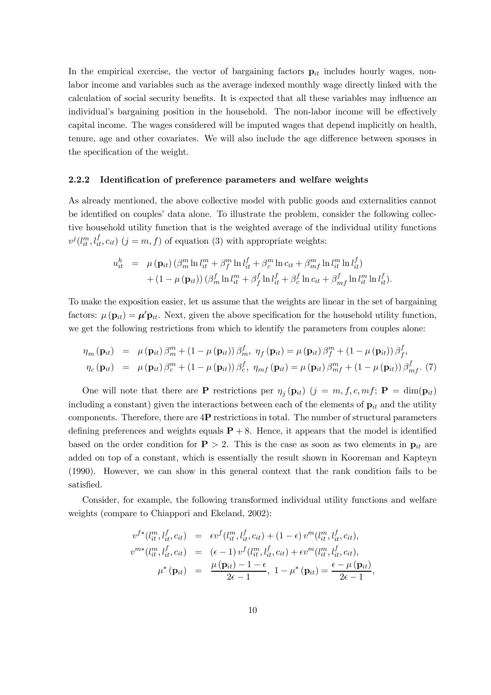In the empirical exercise, the vector of bargaining factors  $\mathbf{p}_{it}$  includes hourly wages, nonlabor income and variables such as the average indexed monthly wage directly linked with the calculation of social security benefits. It is expected that all these variables may influence an individual's bargaining position in the household. The non-labor income will be effectively capital income. The wages considered will be imputed wages that depend implicitly on health, tenure, age and other covariates. We will also include the age difference between spouses in the specification of the weight.

#### 2.2.2 Identification of preference parameters and welfare weights

As already mentioned, the above collective model with public goods and externalities cannot be identified on couples' data alone. To illustrate the problem, consider the following collective household utility function that is the weighted average of the individual utility functions  $v^j(l_{it}^m, l_{it}^f, c_{it})$   $(j = m, f)$  of equation (3) with appropriate weights:

$$
u_{it}^h = \mu(\mathbf{p}_{it}) \left(\beta_m^m \ln l_{it}^m + \beta_f^m \ln l_{it}^f + \beta_c^m \ln c_{it} + \beta_{mf}^m \ln l_{it}^m \ln l_{it}^f\right) + \left(1 - \mu(\mathbf{p}_{it})\right) \left(\beta_m^f \ln l_{it}^m + \beta_f^f \ln l_{it}^f + \beta_c^f \ln c_{it} + \beta_{mf}^f \ln l_{it}^m \ln l_{it}^f\right).
$$

To make the exposition easier, let us assume that the weights are linear in the set of bargaining factors:  $\mu(\mathbf{p}_{it}) = \mu' \mathbf{p}_{it}$ . Next, given the above specification for the household utility function, we get the following restrictions from which to identify the parameters from couples alone:

$$
\eta_m(\mathbf{p}_{it}) = \mu(\mathbf{p}_{it}) \beta_m^m + (1 - \mu(\mathbf{p}_{it})) \beta_m^f, \ \eta_f(\mathbf{p}_{it}) = \mu(\mathbf{p}_{it}) \beta_f^m + (1 - \mu(\mathbf{p}_{it})) \beta_f^f,
$$
  

$$
\eta_c(\mathbf{p}_{it}) = \mu(\mathbf{p}_{it}) \beta_c^m + (1 - \mu(\mathbf{p}_{it})) \beta_c^f, \ \eta_{mf}(\mathbf{p}_{it}) = \mu(\mathbf{p}_{it}) \beta_{mf}^m + (1 - \mu(\mathbf{p}_{it})) \beta_{mf}^f. \ (7)
$$

One will note that there are **P** restrictions per  $\eta_i(\mathbf{p}_{it})$  ( $j = m, f, c, mf$ ; **P** = dim( $\mathbf{p}_{it}$ ) including a constant) given the interactions between each of the elements of  $\mathbf{p}_{it}$  and the utility components. Therefore, there are  $4P$  restrictions in total. The number of structural parameters defining preferences and weights equals  $P + 8$ . Hence, it appears that the model is identified based on the order condition for  $P > 2$ . This is the case as soon as two elements in  $p_{it}$  are added on top of a constant, which is essentially the result shown in Kooreman and Kapteyn (1990). However, we can show in this general context that the rank condition fails to be satisfied.

Consider, for example, the following transformed individual utility functions and welfare weights (compare to Chiappori and Ekeland, 2002):

$$
v^{f*}(l_{it}^m, l_{it}^f, c_{it}) = \epsilon v^f(l_{it}^m, l_{it}^f, c_{it}) + (1 - \epsilon) v^m(l_{it}^m, l_{it}^f, c_{it}),
$$
  
\n
$$
v^{m*}(l_{it}^m, l_{it}^f, c_{it}) = (\epsilon - 1) v^f(l_{it}^m, l_{it}^f, c_{it}) + \epsilon v^m(l_{it}^m, l_{it}^f, c_{it}),
$$
  
\n
$$
\mu^*(\mathbf{p}_{it}) = \frac{\mu(\mathbf{p}_{it}) - 1 - \epsilon}{2\epsilon - 1}, 1 - \mu^*(\mathbf{p}_{it}) = \frac{\epsilon - \mu(\mathbf{p}_{it})}{2\epsilon - 1},
$$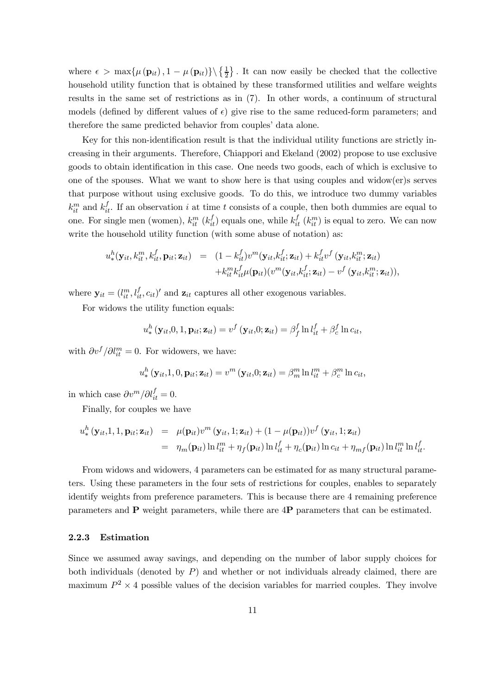where  $\epsilon > \max{\mu(\mathbf{p}_{it}), 1 - \mu(\mathbf{p}_{it})}\ \left\{\frac{1}{2}\right\}$ . It can now easily be checked that the collective household utility function that is obtained by these transformed utilities and welfare weights results in the same set of restrictions as in (7). In other words, a continuum of structural models (defined by different values of  $\epsilon$ ) give rise to the same reduced-form parameters; and therefore the same predicted behavior from couples' data alone.

Key for this non-identification result is that the individual utility functions are strictly increasing in their arguments. Therefore, Chiappori and Ekeland (2002) propose to use exclusive goods to obtain identification in this case. One needs two goods, each of which is exclusive to one of the spouses. What we want to show here is that using couples and widow(er)s serves that purpose without using exclusive goods. To do this, we introduce two dummy variables  $k_{it}^{m}$  and  $k_{it}^{f}$ . If an observation i at time t consists of a couple, then both dummies are equal to one. For single men (women),  $k_{it}^m$  ( $k_{it}^f$ ) equals one, while  $k_{it}^f$  ( $k_{it}^m$ ) is equal to zero. We can now write the household utility function (with some abuse of notation) as:

$$
u^h_*(\mathbf{y}_{it}, k_{it}^m, k_{it}^f, \mathbf{p}_{it}; \mathbf{z}_{it}) = (1 - k_{it}^f) v^m(\mathbf{y}_{it}, k_{it}^f; \mathbf{z}_{it}) + k_{it}^f v^f(\mathbf{y}_{it}, k_{it}^m; \mathbf{z}_{it}) + k_{it}^m k_{it}^f \mu(\mathbf{p}_{it}) (v^m(\mathbf{y}_{it}, k_{it}^f; \mathbf{z}_{it}) - v^f(\mathbf{y}_{it}, k_{it}^m; \mathbf{z}_{it})),
$$

where  $\mathbf{y}_{it} = (l_{it}^m, l_{it}^f, c_{it})'$  and  $\mathbf{z}_{it}$  captures all other exogenous variables.

For widows the utility function equals:

$$
u_*^h(\mathbf{y}_{it},0,1,\mathbf{p}_{it};\mathbf{z}_{it})=v^f(\mathbf{y}_{it},0;\mathbf{z}_{it})=\beta_f^f\ln l_{it}^f+\beta_c^f\ln c_{it},
$$

with  $\partial v^f / \partial l^m_{it} = 0$ . For widowers, we have:

$$
u^h_*\left(\mathbf{y}_{it},1,0,\mathbf{p}_{it};\mathbf{z}_{it}\right)=v^m\left(\mathbf{y}_{it},0;\mathbf{z}_{it}\right)=\beta^m_m\ln l^m_{it}+\beta^m_c\ln c_{it},
$$

in which case  $\partial v^m / \partial l_{it}^f = 0$ .

Finally, for couples we have

$$
u^h_*(\mathbf{y}_{it},1,1,\mathbf{p}_{it};\mathbf{z}_{it}) = \mu(\mathbf{p}_{it})v^m(\mathbf{y}_{it},1;\mathbf{z}_{it}) + (1 - \mu(\mathbf{p}_{it}))v^f(\mathbf{y}_{it},1;\mathbf{z}_{it})
$$
  
= 
$$
\eta_m(\mathbf{p}_{it})\ln l^m_{it} + \eta_f(\mathbf{p}_{it})\ln l^f_{it} + \eta_c(\mathbf{p}_{it})\ln c_{it} + \eta_{mf}(\mathbf{p}_{it})\ln l^m_{it}\ln l^f_{it}.
$$

From widows and widowers, 4 parameters can be estimated for as many structural parameters. Using these parameters in the four sets of restrictions for couples, enables to separately identify weights from preference parameters. This is because there are 4 remaining preference parameters and P weight parameters, while there are 4P parameters that can be estimated.

#### 2.2.3 Estimation

Since we assumed away savings, and depending on the number of labor supply choices for both individuals (denoted by  $P$ ) and whether or not individuals already claimed, there are maximum  $P^2 \times 4$  possible values of the decision variables for married couples. They involve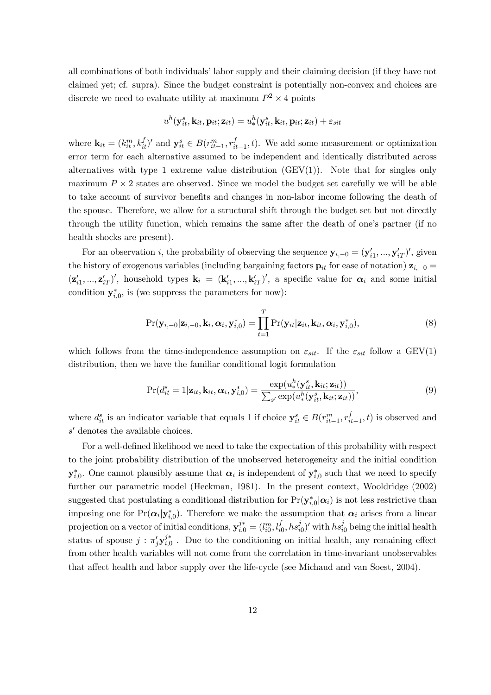all combinations of both individuals' labor supply and their claiming decision (if they have not claimed yet; cf. supra). Since the budget constraint is potentially non-convex and choices are discrete we need to evaluate utility at maximum  $P^2 \times 4$  points

$$
u^h(\mathbf{y}_{it}^s, \mathbf{k}_{it}, \mathbf{p}_{it}; \mathbf{z}_{it}) = u^h_*(\mathbf{y}_{it}^s, \mathbf{k}_{it}, \mathbf{p}_{it}; \mathbf{z}_{it}) + \varepsilon_{sit}
$$

where  $\mathbf{k}_{it} = (k_{it}^m, k_{it}^f)'$  and  $\mathbf{y}_{it}^s \in B(r_{it-1}^m, r_{it-1}^f, t)$ . We add some measurement or optimization error term for each alternative assumed to be independent and identically distributed across alternatives with type 1 extreme value distribution  $(GEV(1))$ . Note that for singles only maximum  $P \times 2$  states are observed. Since we model the budget set carefully we will be able to take account of survivor benefits and changes in non-labor income following the death of the spouse. Therefore, we allow for a structural shift through the budget set but not directly through the utility function, which remains the same after the death of one's partner (if no health shocks are present).

For an observation *i*, the probability of observing the sequence  $y_{i,-0} = (y'_{i1},...,y'_{iT})'$ , given the history of exogenous variables (including bargaining factors  $\mathbf{p}_{it}$  for ease of notation)  $\mathbf{z}_{i,-0} =$  $(\mathbf{z}'_{i1},...,\mathbf{z}'_{iT})'$ , household types  $\mathbf{k}_i = (\mathbf{k}'_{i1},...,\mathbf{k}'_{iT})'$ , a specific value for  $\alpha_i$  and some initial condition  $y_{i,0}^*$ , is (we suppress the parameters for now):

$$
Pr(\mathbf{y}_{i,-0}|\mathbf{z}_{i,-0},\mathbf{k}_{i},\boldsymbol{\alpha}_{i},\mathbf{y}_{i,0}^{*})=\prod_{t=1}^{T}Pr(\mathbf{y}_{it}|\mathbf{z}_{it},\mathbf{k}_{it},\boldsymbol{\alpha}_{i},\mathbf{y}_{i,0}^{*}),
$$
\n(8)

which follows from the time-independence assumption on  $\varepsilon_{sit}$ . If the  $\varepsilon_{sit}$  follow a GEV(1) distribution, then we have the familiar conditional logit formulation

$$
Pr(d_{it}^s = 1 | \mathbf{z}_{it}, \mathbf{k}_{it}, \alpha_i, \mathbf{y}_{i,0}^*) = \frac{\exp(u_*^h(\mathbf{y}_{it}^s, \mathbf{k}_{it}; \mathbf{z}_{it}))}{\sum_{s'} \exp(u_*^h(\mathbf{y}_{it}^s, \mathbf{k}_{it}; \mathbf{z}_{it}))},
$$
(9)

where  $d_{it}^s$  is an indicator variable that equals 1 if choice  $y_{it}^s \in B(r_{it-1}^m, r_{it-1}^f, t)$  is observed and  $s'$  denotes the available choices.

For a well-defined likelihood we need to take the expectation of this probability with respect to the joint probability distribution of the unobserved heterogeneity and the initial condition  $y_{i,0}^*$ . One cannot plausibly assume that  $\alpha_i$  is independent of  $y_{i,0}^*$  such that we need to specify further our parametric model (Heckman, 1981). In the present context, Wooldridge (2002) suggested that postulating a conditional distribution for  $Pr(\mathbf{y}_{i,0}^*|\alpha_i)$  is not less restrictive than imposing one for  $Pr(\alpha_i|\mathbf{y}_{i,0}^*)$ . Therefore we make the assumption that  $\alpha_i$  arises from a linear projection on a vector of initial conditions,  $y_{i,0}^{j*} = (l_{i0}^m, l_{i0}^f, hs_{i0}^j)'$  with  $hs_{i0}^j$  being the initial health status of spouse  $j : \pi'_j \mathbf{y}_{i,0}^{j*}$ . Due to the conditioning on initial health, any remaining effect from other health variables will not come from the correlation in time-invariant unobservables that affect health and labor supply over the life-cycle (see Michaud and van Soest, 2004).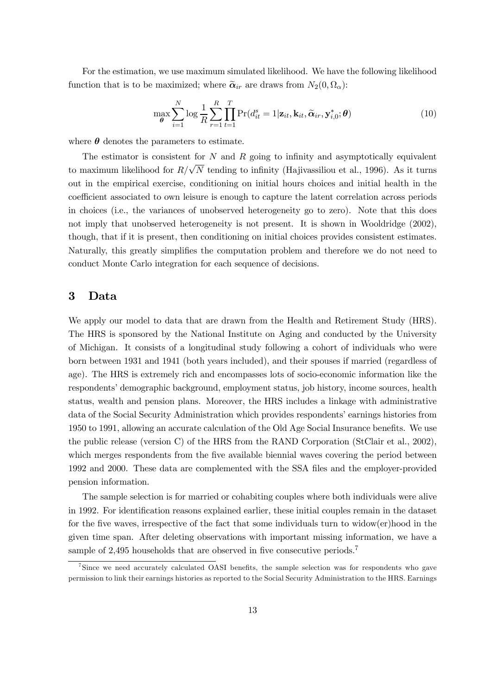For the estimation, we use maximum simulated likelihood. We have the following likelihood function that is to be maximized; where  $\tilde{\alpha}_{ir}$  are draws from  $N_2(0, \Omega_\alpha)$ :

$$
\max_{\boldsymbol{\theta}} \sum_{i=1}^{N} \log \frac{1}{R} \sum_{r=1}^{R} \prod_{t=1}^{T} \Pr(d_{it}^{s} = 1 | \mathbf{z}_{it}, \mathbf{k}_{it}, \widetilde{\boldsymbol{\alpha}}_{ir}, \mathbf{y}_{i,0}^{*}; \boldsymbol{\theta})
$$
(10)

where  $\theta$  denotes the parameters to estimate.

The estimator is consistent for  $N$  and  $R$  going to infinity and asymptotically equivalent to maximum likelihood for  $R/\sqrt{N}$  tending to infinity (Hajivassiliou et al., 1996). As it turns out in the empirical exercise, conditioning on initial hours choices and initial health in the coefficient associated to own leisure is enough to capture the latent correlation across periods in choices (i.e., the variances of unobserved heterogeneity go to zero). Note that this does not imply that unobserved heterogeneity is not present. It is shown in Wooldridge (2002), though, that if it is present, then conditioning on initial choices provides consistent estimates. Naturally, this greatly simplifies the computation problem and therefore we do not need to conduct Monte Carlo integration for each sequence of decisions.

# 3 Data

We apply our model to data that are drawn from the Health and Retirement Study (HRS). The HRS is sponsored by the National Institute on Aging and conducted by the University of Michigan. It consists of a longitudinal study following a cohort of individuals who were born between 1931 and 1941 (both years included), and their spouses if married (regardless of age). The HRS is extremely rich and encompasses lots of socio-economic information like the respondents' demographic background, employment status, job history, income sources, health status, wealth and pension plans. Moreover, the HRS includes a linkage with administrative data of the Social Security Administration which provides respondents' earnings histories from 1950 to 1991, allowing an accurate calculation of the Old Age Social Insurance benefits. We use the public release (version C) of the HRS from the RAND Corporation (StClair et al., 2002), which merges respondents from the five available biennial waves covering the period between 1992 and 2000. These data are complemented with the SSA files and the employer-provided pension information.

The sample selection is for married or cohabiting couples where both individuals were alive in 1992. For identification reasons explained earlier, these initial couples remain in the dataset for the five waves, irrespective of the fact that some individuals turn to widow(er)hood in the given time span. After deleting observations with important missing information, we have a sample of 2,495 households that are observed in five consecutive periods.<sup>7</sup>

<sup>&</sup>lt;sup>7</sup>Since we need accurately calculated OASI benefits, the sample selection was for respondents who gave permission to link their earnings histories as reported to the Social Security Administration to the HRS. Earnings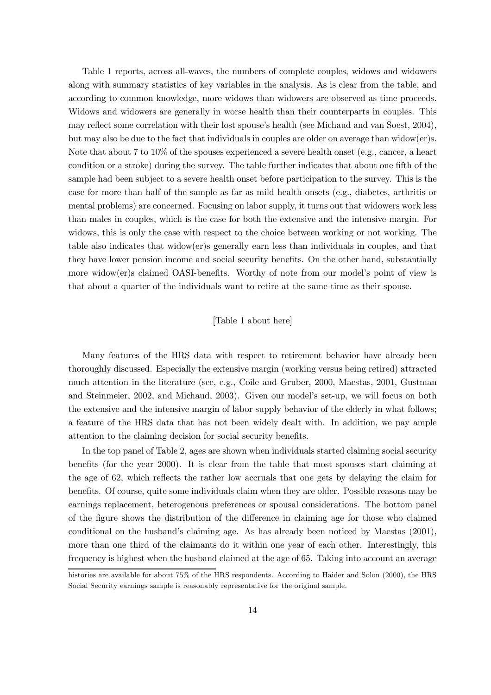Table 1 reports, across all-waves, the numbers of complete couples, widows and widowers along with summary statistics of key variables in the analysis. As is clear from the table, and according to common knowledge, more widows than widowers are observed as time proceeds. Widows and widowers are generally in worse health than their counterparts in couples. This may reflect some correlation with their lost spouse's health (see Michaud and van Soest, 2004), but may also be due to the fact that individuals in couples are older on average than widow(er)s. Note that about 7 to 10% of the spouses experienced a severe health onset (e.g., cancer, a heart condition or a stroke) during the survey. The table further indicates that about one fifth of the sample had been subject to a severe health onset before participation to the survey. This is the case for more than half of the sample as far as mild health onsets (e.g., diabetes, arthritis or mental problems) are concerned. Focusing on labor supply, it turns out that widowers work less than males in couples, which is the case for both the extensive and the intensive margin. For widows, this is only the case with respect to the choice between working or not working. The table also indicates that widow(er)s generally earn less than individuals in couples, and that they have lower pension income and social security benefits. On the other hand, substantially more widow(er)s claimed OASI-benefits. Worthy of note from our model's point of view is that about a quarter of the individuals want to retire at the same time as their spouse.

#### [Table 1 about here]

Many features of the HRS data with respect to retirement behavior have already been thoroughly discussed. Especially the extensive margin (working versus being retired) attracted much attention in the literature (see, e.g., Coile and Gruber, 2000, Maestas, 2001, Gustman and Steinmeier, 2002, and Michaud, 2003). Given our model's set-up, we will focus on both the extensive and the intensive margin of labor supply behavior of the elderly in what follows; a feature of the HRS data that has not been widely dealt with. In addition, we pay ample attention to the claiming decision for social security benefits.

In the top panel of Table 2, ages are shown when individuals started claiming social security benefits (for the year 2000). It is clear from the table that most spouses start claiming at the age of 62, which reflects the rather low accruals that one gets by delaying the claim for benefits. Of course, quite some individuals claim when they are older. Possible reasons may be earnings replacement, heterogenous preferences or spousal considerations. The bottom panel of the figure shows the distribution of the difference in claiming age for those who claimed conditional on the husband's claiming age. As has already been noticed by Maestas (2001), more than one third of the claimants do it within one year of each other. Interestingly, this frequency is highest when the husband claimed at the age of 65. Taking into account an average

histories are available for about 75% of the HRS respondents. According to Haider and Solon (2000), the HRS Social Security earnings sample is reasonably representative for the original sample.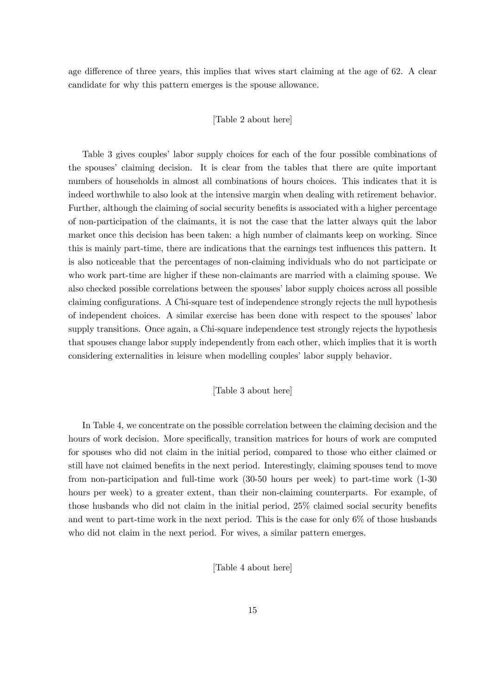age difference of three years, this implies that wives start claiming at the age of 62. A clear candidate for why this pattern emerges is the spouse allowance.

#### [Table 2 about here]

Table 3 gives couples' labor supply choices for each of the four possible combinations of the spouses' claiming decision. It is clear from the tables that there are quite important numbers of households in almost all combinations of hours choices. This indicates that it is indeed worthwhile to also look at the intensive margin when dealing with retirement behavior. Further, although the claiming of social security benefits is associated with a higher percentage of non-participation of the claimants, it is not the case that the latter always quit the labor market once this decision has been taken: a high number of claimants keep on working. Since this is mainly part-time, there are indications that the earnings test influences this pattern. It is also noticeable that the percentages of non-claiming individuals who do not participate or who work part-time are higher if these non-claimants are married with a claiming spouse. We also checked possible correlations between the spouses' labor supply choices across all possible claiming configurations. A Chi-square test of independence strongly rejects the null hypothesis of independent choices. A similar exercise has been done with respect to the spouses' labor supply transitions. Once again, a Chi-square independence test strongly rejects the hypothesis that spouses change labor supply independently from each other, which implies that it is worth considering externalities in leisure when modelling couples' labor supply behavior.

#### [Table 3 about here]

In Table 4, we concentrate on the possible correlation between the claiming decision and the hours of work decision. More specifically, transition matrices for hours of work are computed for spouses who did not claim in the initial period, compared to those who either claimed or still have not claimed benefits in the next period. Interestingly, claiming spouses tend to move from non-participation and full-time work (30-50 hours per week) to part-time work (1-30 hours per week) to a greater extent, than their non-claiming counterparts. For example, of those husbands who did not claim in the initial period, 25% claimed social security benefits and went to part-time work in the next period. This is the case for only 6% of those husbands who did not claim in the next period. For wives, a similar pattern emerges.

[Table 4 about here]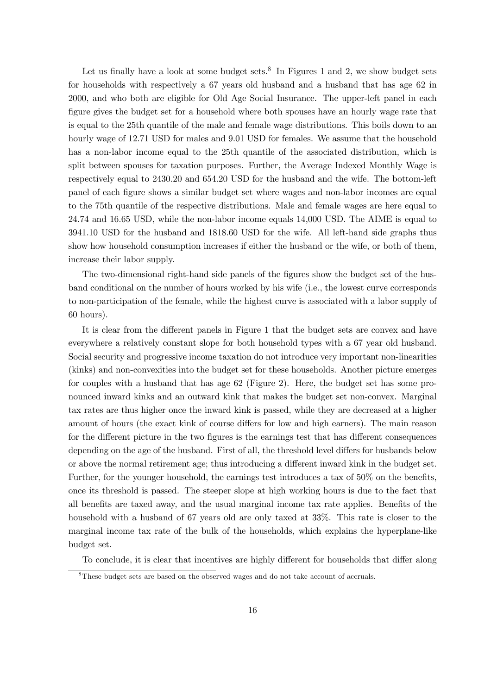Let us finally have a look at some budget sets.<sup>8</sup> In Figures 1 and 2, we show budget sets for households with respectively a 67 years old husband and a husband that has age 62 in 2000, and who both are eligible for Old Age Social Insurance. The upper-left panel in each figure gives the budget set for a household where both spouses have an hourly wage rate that is equal to the 25th quantile of the male and female wage distributions. This boils down to an hourly wage of 12.71 USD for males and 9.01 USD for females. We assume that the household has a non-labor income equal to the 25th quantile of the associated distribution, which is split between spouses for taxation purposes. Further, the Average Indexed Monthly Wage is respectively equal to 2430.20 and 654.20 USD for the husband and the wife. The bottom-left panel of each figure shows a similar budget set where wages and non-labor incomes are equal to the 75th quantile of the respective distributions. Male and female wages are here equal to 24.74 and 16.65 USD, while the non-labor income equals 14,000 USD. The AIME is equal to 3941.10 USD for the husband and 1818.60 USD for the wife. All left-hand side graphs thus show how household consumption increases if either the husband or the wife, or both of them, increase their labor supply.

The two-dimensional right-hand side panels of the figures show the budget set of the husband conditional on the number of hours worked by his wife (i.e., the lowest curve corresponds to non-participation of the female, while the highest curve is associated with a labor supply of 60 hours).

It is clear from the different panels in Figure 1 that the budget sets are convex and have everywhere a relatively constant slope for both household types with a 67 year old husband. Social security and progressive income taxation do not introduce very important non-linearities (kinks) and non-convexities into the budget set for these households. Another picture emerges for couples with a husband that has age 62 (Figure 2). Here, the budget set has some pronounced inward kinks and an outward kink that makes the budget set non-convex. Marginal tax rates are thus higher once the inward kink is passed, while they are decreased at a higher amount of hours (the exact kink of course differs for low and high earners). The main reason for the different picture in the two figures is the earnings test that has different consequences depending on the age of the husband. First of all, the threshold level differs for husbands below or above the normal retirement age; thus introducing a different inward kink in the budget set. Further, for the younger household, the earnings test introduces a tax of 50% on the benefits, once its threshold is passed. The steeper slope at high working hours is due to the fact that all benefits are taxed away, and the usual marginal income tax rate applies. Benefits of the household with a husband of 67 years old are only taxed at 33%. This rate is closer to the marginal income tax rate of the bulk of the households, which explains the hyperplane-like budget set.

To conclude, it is clear that incentives are highly different for households that differ along

<sup>&</sup>lt;sup>8</sup>These budget sets are based on the observed wages and do not take account of accruals.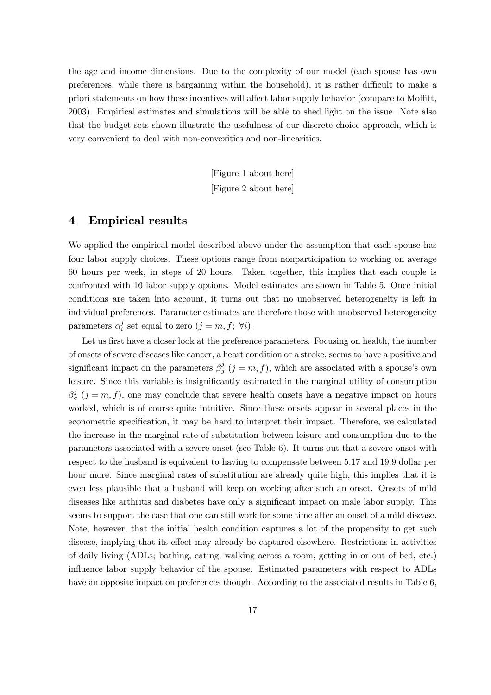the age and income dimensions. Due to the complexity of our model (each spouse has own preferences, while there is bargaining within the household), it is rather difficult to make a priori statements on how these incentives will affect labor supply behavior (compare to Moffitt, 2003). Empirical estimates and simulations will be able to shed light on the issue. Note also that the budget sets shown illustrate the usefulness of our discrete choice approach, which is very convenient to deal with non-convexities and non-linearities.

> [Figure 1 about here] [Figure 2 about here]

# 4 Empirical results

We applied the empirical model described above under the assumption that each spouse has four labor supply choices. These options range from nonparticipation to working on average 60 hours per week, in steps of 20 hours. Taken together, this implies that each couple is confronted with 16 labor supply options. Model estimates are shown in Table 5. Once initial conditions are taken into account, it turns out that no unobserved heterogeneity is left in individual preferences. Parameter estimates are therefore those with unobserved heterogeneity parameters  $\alpha_i^j$  set equal to zero  $(j = m, f; \ \forall i)$ .

Let us first have a closer look at the preference parameters. Focusing on health, the number of onsets of severe diseases like cancer, a heart condition or a stroke, seems to have a positive and significant impact on the parameters  $\beta_i^j$   $(j = m, f)$ , which are associated with a spouse's own leisure. Since this variable is insignificantly estimated in the marginal utility of consumption  $\beta_c^j$   $(j = m, f)$ , one may conclude that severe health onsets have a negative impact on hours worked, which is of course quite intuitive. Since these onsets appear in several places in the econometric specification, it may be hard to interpret their impact. Therefore, we calculated the increase in the marginal rate of substitution between leisure and consumption due to the parameters associated with a severe onset (see Table 6). It turns out that a severe onset with respect to the husband is equivalent to having to compensate between 5.17 and 19.9 dollar per hour more. Since marginal rates of substitution are already quite high, this implies that it is even less plausible that a husband will keep on working after such an onset. Onsets of mild diseases like arthritis and diabetes have only a significant impact on male labor supply. This seems to support the case that one can still work for some time after an onset of a mild disease. Note, however, that the initial health condition captures a lot of the propensity to get such disease, implying that its effect may already be captured elsewhere. Restrictions in activities of daily living (ADLs; bathing, eating, walking across a room, getting in or out of bed, etc.) influence labor supply behavior of the spouse. Estimated parameters with respect to ADLs have an opposite impact on preferences though. According to the associated results in Table 6,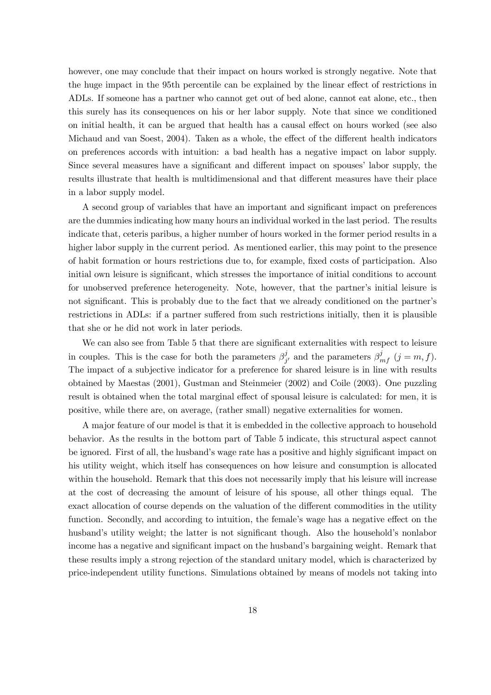however, one may conclude that their impact on hours worked is strongly negative. Note that the huge impact in the 95th percentile can be explained by the linear effect of restrictions in ADLs. If someone has a partner who cannot get out of bed alone, cannot eat alone, etc., then this surely has its consequences on his or her labor supply. Note that since we conditioned on initial health, it can be argued that health has a causal effect on hours worked (see also Michaud and van Soest, 2004). Taken as a whole, the effect of the different health indicators on preferences accords with intuition: a bad health has a negative impact on labor supply. Since several measures have a significant and different impact on spouses' labor supply, the results illustrate that health is multidimensional and that different measures have their place in a labor supply model.

A second group of variables that have an important and significant impact on preferences are the dummies indicating how many hours an individual worked in the last period. The results indicate that, ceteris paribus, a higher number of hours worked in the former period results in a higher labor supply in the current period. As mentioned earlier, this may point to the presence of habit formation or hours restrictions due to, for example, fixed costs of participation. Also initial own leisure is significant, which stresses the importance of initial conditions to account for unobserved preference heterogeneity. Note, however, that the partner's initial leisure is not significant. This is probably due to the fact that we already conditioned on the partner's restrictions in ADLs: if a partner suffered from such restrictions initially, then it is plausible that she or he did not work in later periods.

We can also see from Table 5 that there are significant externalities with respect to leisure in couples. This is the case for both the parameters  $\beta_{j'}^j$  and the parameters  $\beta_{mf}^j$   $(j = m, f)$ . The impact of a subjective indicator for a preference for shared leisure is in line with results obtained by Maestas (2001), Gustman and Steinmeier (2002) and Coile (2003). One puzzling result is obtained when the total marginal effect of spousal leisure is calculated: for men, it is positive, while there are, on average, (rather small) negative externalities for women.

A major feature of our model is that it is embedded in the collective approach to household behavior. As the results in the bottom part of Table 5 indicate, this structural aspect cannot be ignored. First of all, the husband's wage rate has a positive and highly significant impact on his utility weight, which itself has consequences on how leisure and consumption is allocated within the household. Remark that this does not necessarily imply that his leisure will increase at the cost of decreasing the amount of leisure of his spouse, all other things equal. The exact allocation of course depends on the valuation of the different commodities in the utility function. Secondly, and according to intuition, the female's wage has a negative effect on the husband's utility weight; the latter is not significant though. Also the household's nonlabor income has a negative and significant impact on the husband's bargaining weight. Remark that these results imply a strong rejection of the standard unitary model, which is characterized by price-independent utility functions. Simulations obtained by means of models not taking into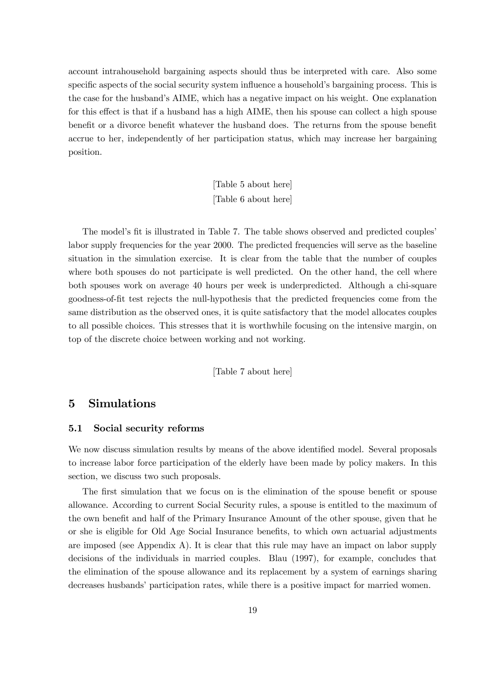account intrahousehold bargaining aspects should thus be interpreted with care. Also some specific aspects of the social security system influence a household's bargaining process. This is the case for the husband's AIME, which has a negative impact on his weight. One explanation for this effect is that if a husband has a high AIME, then his spouse can collect a high spouse benefit or a divorce benefit whatever the husband does. The returns from the spouse benefit accrue to her, independently of her participation status, which may increase her bargaining position.

> [Table 5 about here] [Table 6 about here]

The model's fit is illustrated in Table 7. The table shows observed and predicted couples' labor supply frequencies for the year 2000. The predicted frequencies will serve as the baseline situation in the simulation exercise. It is clear from the table that the number of couples where both spouses do not participate is well predicted. On the other hand, the cell where both spouses work on average 40 hours per week is underpredicted. Although a chi-square goodness-of-fit test rejects the null-hypothesis that the predicted frequencies come from the same distribution as the observed ones, it is quite satisfactory that the model allocates couples to all possible choices. This stresses that it is worthwhile focusing on the intensive margin, on top of the discrete choice between working and not working.

[Table 7 about here]

### 5 Simulations

#### 5.1 Social security reforms

We now discuss simulation results by means of the above identified model. Several proposals to increase labor force participation of the elderly have been made by policy makers. In this section, we discuss two such proposals.

The first simulation that we focus on is the elimination of the spouse benefit or spouse allowance. According to current Social Security rules, a spouse is entitled to the maximum of the own benefit and half of the Primary Insurance Amount of the other spouse, given that he or she is eligible for Old Age Social Insurance benefits, to which own actuarial adjustments are imposed (see Appendix A). It is clear that this rule may have an impact on labor supply decisions of the individuals in married couples. Blau (1997), for example, concludes that the elimination of the spouse allowance and its replacement by a system of earnings sharing decreases husbands' participation rates, while there is a positive impact for married women.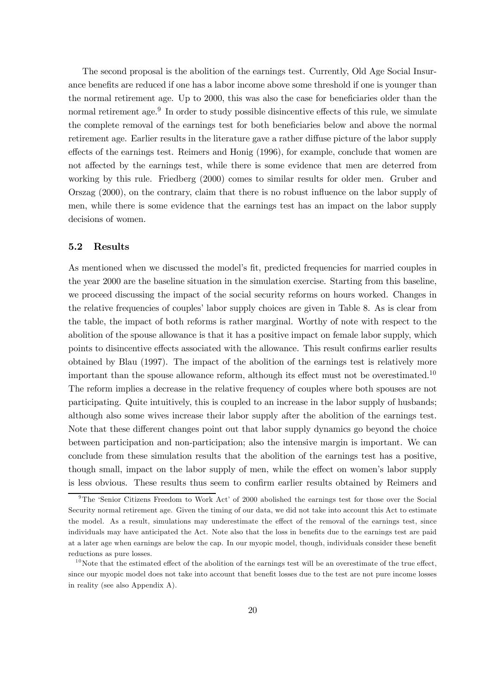The second proposal is the abolition of the earnings test. Currently, Old Age Social Insurance benefits are reduced if one has a labor income above some threshold if one is younger than the normal retirement age. Up to 2000, this was also the case for beneficiaries older than the normal retirement age.<sup>9</sup> In order to study possible disincentive effects of this rule, we simulate the complete removal of the earnings test for both beneficiaries below and above the normal retirement age. Earlier results in the literature gave a rather diffuse picture of the labor supply effects of the earnings test. Reimers and Honig (1996), for example, conclude that women are not affected by the earnings test, while there is some evidence that men are deterred from working by this rule. Friedberg (2000) comes to similar results for older men. Gruber and Orszag (2000), on the contrary, claim that there is no robust influence on the labor supply of men, while there is some evidence that the earnings test has an impact on the labor supply decisions of women.

#### 5.2 Results

As mentioned when we discussed the model's fit, predicted frequencies for married couples in the year 2000 are the baseline situation in the simulation exercise. Starting from this baseline, we proceed discussing the impact of the social security reforms on hours worked. Changes in the relative frequencies of couples' labor supply choices are given in Table 8. As is clear from the table, the impact of both reforms is rather marginal. Worthy of note with respect to the abolition of the spouse allowance is that it has a positive impact on female labor supply, which points to disincentive effects associated with the allowance. This result confirms earlier results obtained by Blau (1997). The impact of the abolition of the earnings test is relatively more important than the spouse allowance reform, although its effect must not be overestimated.<sup>10</sup> The reform implies a decrease in the relative frequency of couples where both spouses are not participating. Quite intuitively, this is coupled to an increase in the labor supply of husbands; although also some wives increase their labor supply after the abolition of the earnings test. Note that these different changes point out that labor supply dynamics go beyond the choice between participation and non-participation; also the intensive margin is important. We can conclude from these simulation results that the abolition of the earnings test has a positive, though small, impact on the labor supply of men, while the effect on women's labor supply is less obvious. These results thus seem to confirm earlier results obtained by Reimers and

<sup>&</sup>lt;sup>9</sup>The 'Senior Citizens Freedom to Work Act' of 2000 abolished the earnings test for those over the Social Security normal retirement age. Given the timing of our data, we did not take into account this Act to estimate the model. As a result, simulations may underestimate the effect of the removal of the earnings test, since individuals may have anticipated the Act. Note also that the loss in benefits due to the earnings test are paid at a later age when earnings are below the cap. In our myopic model, though, individuals consider these benefit reductions as pure losses.

 $10$ Note that the estimated effect of the abolition of the earnings test will be an overestimate of the true effect, since our myopic model does not take into account that benefit losses due to the test are not pure income losses in reality (see also Appendix A).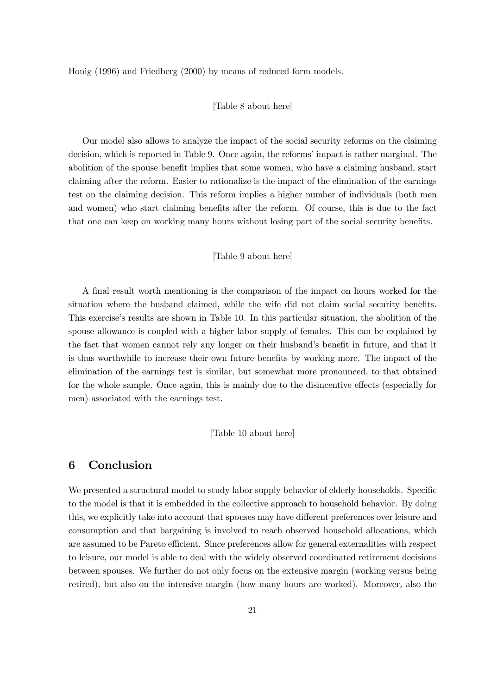Honig (1996) and Friedberg (2000) by means of reduced form models.

#### [Table 8 about here]

Our model also allows to analyze the impact of the social security reforms on the claiming decision, which is reported in Table 9. Once again, the reforms' impact is rather marginal. The abolition of the spouse benefit implies that some women, who have a claiming husband, start claiming after the reform. Easier to rationalize is the impact of the elimination of the earnings test on the claiming decision. This reform implies a higher number of individuals (both men and women) who start claiming benefits after the reform. Of course, this is due to the fact that one can keep on working many hours without losing part of the social security benefits.

#### [Table 9 about here]

A final result worth mentioning is the comparison of the impact on hours worked for the situation where the husband claimed, while the wife did not claim social security benefits. This exercise's results are shown in Table 10. In this particular situation, the abolition of the spouse allowance is coupled with a higher labor supply of females. This can be explained by the fact that women cannot rely any longer on their husband's benefit in future, and that it is thus worthwhile to increase their own future benefits by working more. The impact of the elimination of the earnings test is similar, but somewhat more pronounced, to that obtained for the whole sample. Once again, this is mainly due to the disincentive effects (especially for men) associated with the earnings test.

[Table 10 about here]

# 6 Conclusion

We presented a structural model to study labor supply behavior of elderly households. Specific to the model is that it is embedded in the collective approach to household behavior. By doing this, we explicitly take into account that spouses may have different preferences over leisure and consumption and that bargaining is involved to reach observed household allocations, which are assumed to be Pareto efficient. Since preferences allow for general externalities with respect to leisure, our model is able to deal with the widely observed coordinated retirement decisions between spouses. We further do not only focus on the extensive margin (working versus being retired), but also on the intensive margin (how many hours are worked). Moreover, also the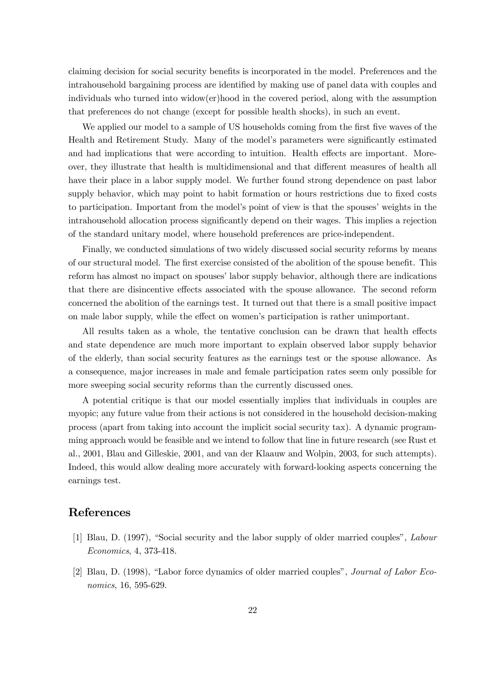claiming decision for social security benefits is incorporated in the model. Preferences and the intrahousehold bargaining process are identified by making use of panel data with couples and individuals who turned into widow(er)hood in the covered period, along with the assumption that preferences do not change (except for possible health shocks), in such an event.

We applied our model to a sample of US households coming from the first five waves of the Health and Retirement Study. Many of the model's parameters were significantly estimated and had implications that were according to intuition. Health effects are important. Moreover, they illustrate that health is multidimensional and that different measures of health all have their place in a labor supply model. We further found strong dependence on past labor supply behavior, which may point to habit formation or hours restrictions due to fixed costs to participation. Important from the model's point of view is that the spouses' weights in the intrahousehold allocation process significantly depend on their wages. This implies a rejection of the standard unitary model, where household preferences are price-independent.

Finally, we conducted simulations of two widely discussed social security reforms by means of our structural model. The first exercise consisted of the abolition of the spouse benefit. This reform has almost no impact on spouses' labor supply behavior, although there are indications that there are disincentive effects associated with the spouse allowance. The second reform concerned the abolition of the earnings test. It turned out that there is a small positive impact on male labor supply, while the effect on women's participation is rather unimportant.

All results taken as a whole, the tentative conclusion can be drawn that health effects and state dependence are much more important to explain observed labor supply behavior of the elderly, than social security features as the earnings test or the spouse allowance. As a consequence, major increases in male and female participation rates seem only possible for more sweeping social security reforms than the currently discussed ones.

A potential critique is that our model essentially implies that individuals in couples are myopic; any future value from their actions is not considered in the household decision-making process (apart from taking into account the implicit social security tax). A dynamic programming approach would be feasible and we intend to follow that line in future research (see Rust et al., 2001, Blau and Gilleskie, 2001, and van der Klaauw and Wolpin, 2003, for such attempts). Indeed, this would allow dealing more accurately with forward-looking aspects concerning the earnings test.

# References

- [1] Blau, D. (1997), "Social security and the labor supply of older married couples", Labour Economics, 4, 373-418.
- [2] Blau, D. (1998), "Labor force dynamics of older married couples", Journal of Labor Economics, 16, 595-629.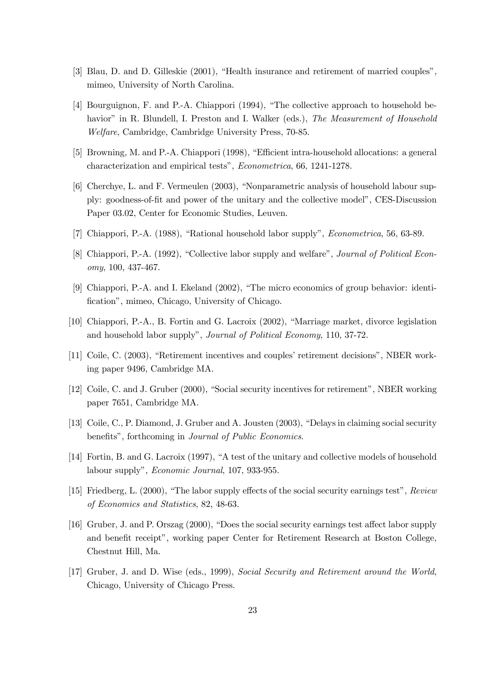- [3] Blau, D. and D. Gilleskie (2001), "Health insurance and retirement of married couples", mimeo, University of North Carolina.
- [4] Bourguignon, F. and P.-A. Chiappori (1994), "The collective approach to household behavior" in R. Blundell, I. Preston and I. Walker (eds.), The Measurement of Household Welfare, Cambridge, Cambridge University Press, 70-85.
- [5] Browning, M. and P.-A. Chiappori (1998), "Efficient intra-household allocations: a general characterization and empirical tests", Econometrica, 66, 1241-1278.
- [6] Cherchye, L. and F. Vermeulen (2003), "Nonparametric analysis of household labour supply: goodness-of-fit and power of the unitary and the collective model", CES-Discussion Paper 03.02, Center for Economic Studies, Leuven.
- [7] Chiappori, P.-A. (1988), "Rational household labor supply", Econometrica, 56, 63-89.
- [8] Chiappori, P.-A. (1992), "Collective labor supply and welfare", *Journal of Political Econ*omy, 100, 437-467.
- [9] Chiappori, P.-A. and I. Ekeland (2002), "The micro economics of group behavior: identification", mimeo, Chicago, University of Chicago.
- [10] Chiappori, P.-A., B. Fortin and G. Lacroix (2002), "Marriage market, divorce legislation and household labor supply", Journal of Political Economy, 110, 37-72.
- [11] Coile, C. (2003), "Retirement incentives and couples' retirement decisions", NBER working paper 9496, Cambridge MA.
- [12] Coile, C. and J. Gruber (2000), "Social security incentives for retirement", NBER working paper 7651, Cambridge MA.
- [13] Coile, C., P. Diamond, J. Gruber and A. Jousten (2003), "Delays in claiming social security benefits", forthcoming in Journal of Public Economics.
- [14] Fortin, B. and G. Lacroix (1997), "A test of the unitary and collective models of household labour supply", Economic Journal, 107, 933-955.
- [15] Friedberg, L. (2000), "The labor supply effects of the social security earnings test", Review of Economics and Statistics, 82, 48-63.
- [16] Gruber, J. and P. Orszag (2000), "Does the social security earnings test affect labor supply and benefit receipt", working paper Center for Retirement Research at Boston College, Chestnut Hill, Ma.
- [17] Gruber, J. and D. Wise (eds., 1999), Social Security and Retirement around the World, Chicago, University of Chicago Press.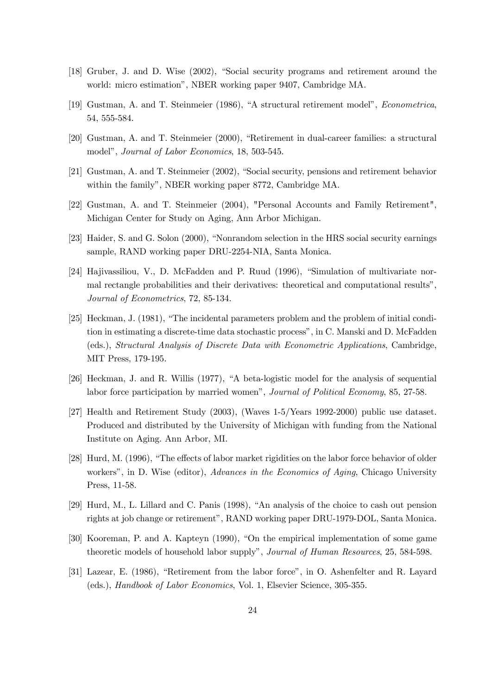- [18] Gruber, J. and D. Wise (2002), "Social security programs and retirement around the world: micro estimation", NBER working paper 9407, Cambridge MA.
- [19] Gustman, A. and T. Steinmeier (1986), "A structural retirement model", Econometrica, 54, 555-584.
- [20] Gustman, A. and T. Steinmeier (2000), "Retirement in dual-career families: a structural model", Journal of Labor Economics, 18, 503-545.
- [21] Gustman, A. and T. Steinmeier (2002), "Social security, pensions and retirement behavior within the family", NBER working paper 8772, Cambridge MA.
- [22] Gustman, A. and T. Steinmeier (2004), "Personal Accounts and Family Retirement", Michigan Center for Study on Aging, Ann Arbor Michigan.
- [23] Haider, S. and G. Solon (2000), "Nonrandom selection in the HRS social security earnings sample, RAND working paper DRU-2254-NIA, Santa Monica.
- [24] Hajivassiliou, V., D. McFadden and P. Ruud (1996), "Simulation of multivariate normal rectangle probabilities and their derivatives: theoretical and computational results", Journal of Econometrics, 72, 85-134.
- [25] Heckman, J. (1981), "The incidental parameters problem and the problem of initial condition in estimating a discrete-time data stochastic process", in C. Manski and D. McFadden (eds.), Structural Analysis of Discrete Data with Econometric Applications, Cambridge, MIT Press, 179-195.
- [26] Heckman, J. and R. Willis (1977), "A beta-logistic model for the analysis of sequential labor force participation by married women", Journal of Political Economy, 85, 27-58.
- [27] Health and Retirement Study (2003), (Waves 1-5/Years 1992-2000) public use dataset. Produced and distributed by the University of Michigan with funding from the National Institute on Aging. Ann Arbor, MI.
- [28] Hurd, M. (1996), "The effects of labor market rigidities on the labor force behavior of older workers", in D. Wise (editor), Advances in the Economics of Aging, Chicago University Press, 11-58.
- [29] Hurd, M., L. Lillard and C. Panis (1998), "An analysis of the choice to cash out pension rights at job change or retirement", RAND working paper DRU-1979-DOL, Santa Monica.
- [30] Kooreman, P. and A. Kapteyn (1990), "On the empirical implementation of some game theoretic models of household labor supply", Journal of Human Resources, 25, 584-598.
- [31] Lazear, E. (1986), "Retirement from the labor force", in O. Ashenfelter and R. Layard (eds.), Handbook of Labor Economics, Vol. 1, Elsevier Science, 305-355.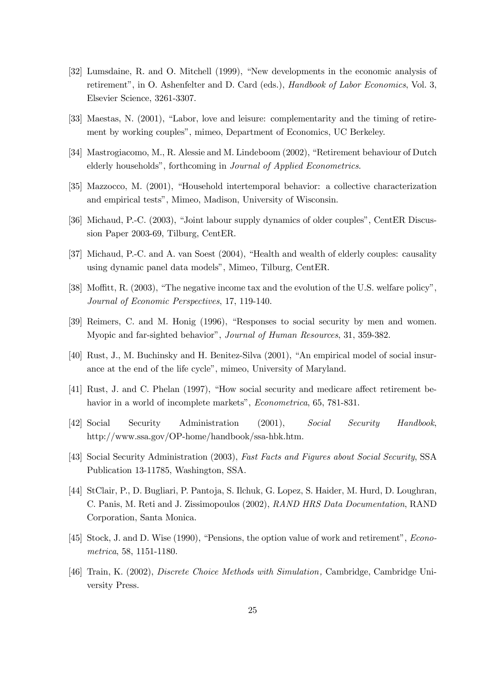- [32] Lumsdaine, R. and O. Mitchell (1999), "New developments in the economic analysis of retirement", in O. Ashenfelter and D. Card (eds.), *Handbook of Labor Economics*, Vol. 3, Elsevier Science, 3261-3307.
- [33] Maestas, N. (2001), "Labor, love and leisure: complementarity and the timing of retirement by working couples", mimeo, Department of Economics, UC Berkeley.
- [34] Mastrogiacomo, M., R. Alessie and M. Lindeboom (2002), "Retirement behaviour of Dutch elderly households", forthcoming in Journal of Applied Econometrics.
- [35] Mazzocco, M. (2001), "Household intertemporal behavior: a collective characterization and empirical tests", Mimeo, Madison, University of Wisconsin.
- [36] Michaud, P.-C. (2003), "Joint labour supply dynamics of older couples", CentER Discussion Paper 2003-69, Tilburg, CentER.
- [37] Michaud, P.-C. and A. van Soest (2004), "Health and wealth of elderly couples: causality using dynamic panel data models", Mimeo, Tilburg, CentER.
- [38] Moffitt, R. (2003), "The negative income tax and the evolution of the U.S. welfare policy", Journal of Economic Perspectives, 17, 119-140.
- [39] Reimers, C. and M. Honig (1996), "Responses to social security by men and women. Myopic and far-sighted behavior", Journal of Human Resources, 31, 359-382.
- [40] Rust, J., M. Buchinsky and H. Benitez-Silva (2001), "An empirical model of social insurance at the end of the life cycle", mimeo, University of Maryland.
- [41] Rust, J. and C. Phelan (1997), "How social security and medicare affect retirement behavior in a world of incomplete markets", *Econometrica*, 65, 781-831.
- [42] Social Security Administration (2001), Social Security Handbook, http://www.ssa.gov/OP-home/handbook/ssa-hbk.htm.
- [43] Social Security Administration (2003), Fast Facts and Figures about Social Security, SSA Publication 13-11785, Washington, SSA.
- [44] StClair, P., D. Bugliari, P. Pantoja, S. Ilchuk, G. Lopez, S. Haider, M. Hurd, D. Loughran, C. Panis, M. Reti and J. Zissimopoulos (2002), RAND HRS Data Documentation, RAND Corporation, Santa Monica.
- [45] Stock, J. and D. Wise (1990), "Pensions, the option value of work and retirement", *Econo*metrica, 58, 1151-1180.
- [46] Train, K. (2002), Discrete Choice Methods with Simulation, Cambridge, Cambridge University Press.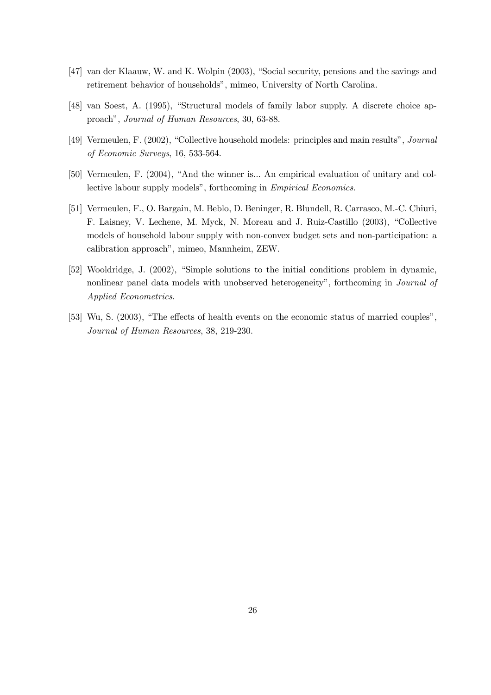- [47] van der Klaauw, W. and K. Wolpin (2003), "Social security, pensions and the savings and retirement behavior of households", mimeo, University of North Carolina.
- [48] van Soest, A. (1995), "Structural models of family labor supply. A discrete choice approach", Journal of Human Resources, 30, 63-88.
- [49] Vermeulen, F. (2002), "Collective household models: principles and main results", Journal of Economic Surveys, 16, 533-564.
- [50] Vermeulen, F. (2004), "And the winner is... An empirical evaluation of unitary and collective labour supply models", forthcoming in Empirical Economics.
- [51] Vermeulen, F., O. Bargain, M. Beblo, D. Beninger, R. Blundell, R. Carrasco, M.-C. Chiuri, F. Laisney, V. Lechene, M. Myck, N. Moreau and J. Ruiz-Castillo (2003), "Collective models of household labour supply with non-convex budget sets and non-participation: a calibration approach", mimeo, Mannheim, ZEW.
- [52] Wooldridge, J. (2002), "Simple solutions to the initial conditions problem in dynamic, nonlinear panel data models with unobserved heterogeneity", forthcoming in Journal of Applied Econometrics.
- [53] Wu, S. (2003), "The effects of health events on the economic status of married couples", Journal of Human Resources, 38, 219-230.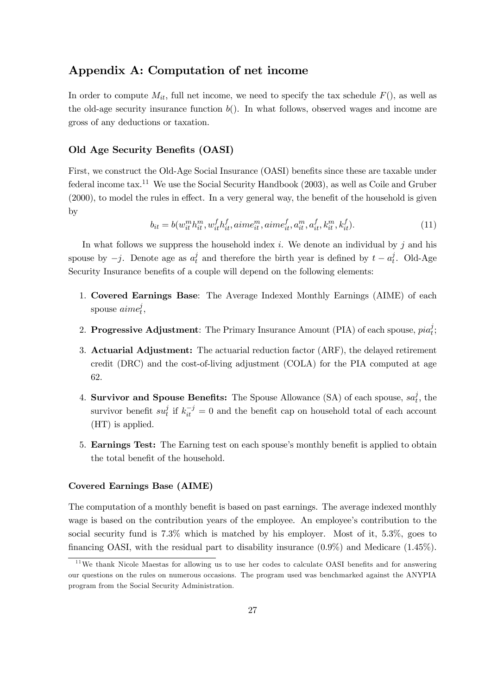# Appendix A: Computation of net income

In order to compute  $M_{it}$ , full net income, we need to specify the tax schedule  $F()$ , as well as the old-age security insurance function  $b()$ . In what follows, observed wages and income are gross of any deductions or taxation.

#### Old Age Security Benefits (OASI)

First, we construct the Old-Age Social Insurance (OASI) benefits since these are taxable under federal income  $\text{tax}.^{11}$  We use the Social Security Handbook (2003), as well as Coile and Gruber (2000), to model the rules in effect. In a very general way, the benefit of the household is given by

$$
b_{it} = b(w_{it}^m h_{it}^m, w_{it}^f h_{it}^f, aime_{it}^m, aime_{it}^f, a_{it}^m, a_{it}^f, k_{it}^m, k_{it}^f). \tag{11}
$$

In what follows we suppress the household index i. We denote an individual by j and his spouse by  $-j$ . Denote age as  $a_t^j$  and therefore the birth year is defined by  $t - a_t^j$ . Old-Age Security Insurance benefits of a couple will depend on the following elements:

- 1. Covered Earnings Base: The Average Indexed Monthly Earnings (AIME) of each spouse  $\mathit{aime}_t^j,$
- 2. Progressive Adjustment: The Primary Insurance Amount (PIA) of each spouse,  $pia_i^j$ ;
- 3. Actuarial Adjustment: The actuarial reduction factor (ARF), the delayed retirement credit (DRC) and the cost-of-living adjustment (COLA) for the PIA computed at age 62.
- 4. Survivor and Spouse Benefits: The Spouse Allowance (SA) of each spouse,  $sa_t^j$ , the survivor benefit  $su_t^j$  if  $k_{it}^{-j} = 0$  and the benefit cap on household total of each account (HT) is applied.
- 5. Earnings Test: The Earning test on each spouse's monthly benefit is applied to obtain the total benefit of the household.

#### Covered Earnings Base (AIME)

The computation of a monthly benefit is based on past earnings. The average indexed monthly wage is based on the contribution years of the employee. An employee's contribution to the social security fund is 7.3% which is matched by his employer. Most of it, 5.3%, goes to financing OASI, with the residual part to disability insurance (0.9%) and Medicare (1.45%).

 $11$ We thank Nicole Maestas for allowing us to use her codes to calculate OASI benefits and for answering our questions on the rules on numerous occasions. The program used was benchmarked against the ANYPIA program from the Social Security Administration.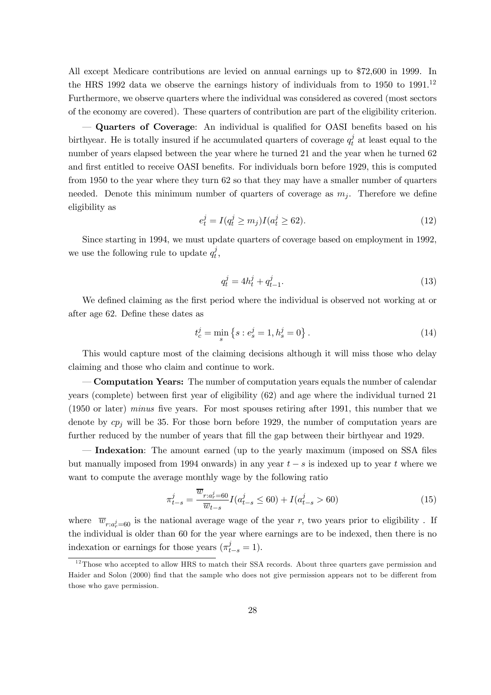All except Medicare contributions are levied on annual earnings up to \$72,600 in 1999. In the HRS 1992 data we observe the earnings history of individuals from to 1950 to 1991.<sup>12</sup> Furthermore, we observe quarters where the individual was considered as covered (most sectors of the economy are covered). These quarters of contribution are part of the eligibility criterion.

– Quarters of Coverage: An individual is qualified for OASI benefits based on his birthyear. He is totally insured if he accumulated quarters of coverage  $q_t^j$  at least equal to the number of years elapsed between the year where he turned 21 and the year when he turned 62 and first entitled to receive OASI benefits. For individuals born before 1929, this is computed from 1950 to the year where they turn 62 so that they may have a smaller number of quarters needed. Denote this minimum number of quarters of coverage as  $m_i$ . Therefore we define eligibility as

$$
e_t^j = I(q_t^j \ge m_j)I(a_t^j \ge 62).
$$
\n(12)

Since starting in 1994, we must update quarters of coverage based on employment in 1992, we use the following rule to update  $q_t^j$ ,

$$
q_t^j = 4h_t^j + q_{t-1}^j.
$$
\n(13)

We defined claiming as the first period where the individual is observed not working at or after age 62. Define these dates as

$$
t_c^j = \min_s \left\{ s : e_s^j = 1, h_s^j = 0 \right\}.
$$
\n(14)

This would capture most of the claiming decisions although it will miss those who delay claiming and those who claim and continue to work.

– Computation Years: The number of computation years equals the number of calendar years (complete) between first year of eligibility (62) and age where the individual turned 21 (1950 or later) minus five years. For most spouses retiring after 1991, this number that we denote by  $cp<sub>j</sub>$  will be 35. For those born before 1929, the number of computation years are further reduced by the number of years that fill the gap between their birthyear and 1929.

Indexation: The amount earned (up to the yearly maximum (imposed on SSA files but manually imposed from 1994 onwards) in any year  $t - s$  is indexed up to year t where we want to compute the average monthly wage by the following ratio

$$
\pi_{t-s}^j = \frac{\overline{w}_{r:a_r^j=60}}{\overline{w}_{t-s}} I(a_{t-s}^j \le 60) + I(a_{t-s}^j > 60)
$$
\n(15)

where  $\overline{w}_{r:a_r^j=60}$  is the national average wage of the year r, two years prior to eligibility. If the individual is older than 60 for the year where earnings are to be indexed, then there is no indexation or earnings for those years  $(\pi_{t-s}^j = 1)$ .

 $12$ Those who accepted to allow HRS to match their SSA records. About three quarters gave permission and Haider and Solon (2000) find that the sample who does not give permission appears not to be different from those who gave permission.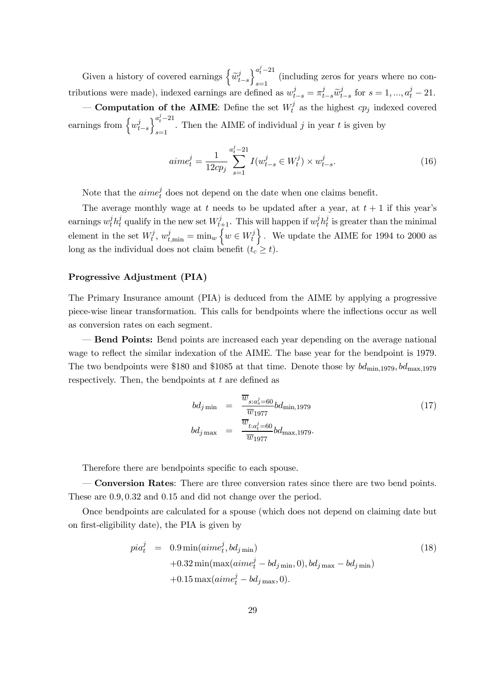Given a history of covered earnings  $\left\lbrace\widetilde{w}_{t-s}^{j}\right\rbrace$  $\Big\}_{s=1}^{a_t^j-21}$  (including zeros for years where no contributions were made), indexed earnings are defined as  $w_{t-s}^j = \pi_{t-s}^j \tilde{w}_{t-s}^j$  for  $s = 1, ..., a_t^j - 21$ .

**– Computation of the AIME**: Define the set  $W_t^j$  as the highest  $cp_j$  indexed covered earnings from  $\left\{w_{t-s}^j\right\}$  $a_t^j-21$ Then the AIME of individual j in year t is given by  $s=1$ 

$$
aime_t^j = \frac{1}{12cp_j} \sum_{s=1}^{a_t^j - 21} I(w_{t-s}^j \in W_t^j) \times w_{t-s}^j.
$$
\n(16)

Note that the  $aime<sub>t</sub><sup>j</sup>$  does not depend on the date when one claims benefit.

The average monthly wage at t needs to be updated after a year, at  $t + 1$  if this year's earnings  $w_t^j h_t^j$  qualify in the new set  $W_{t+1}^j$ . This will happen if  $w_t^j h_t^j$  is greater than the minimal element in the set  $W_t^j$ ,  $w_{t,\min}^j = \min_w \left\{ w \in W_t^j \right\}$ . We update the AIME for 1994 to 2000 as long as the individual does not claim benefit  $(t_c \geq t)$ .

#### Progressive Adjustment (PIA)

The Primary Insurance amount (PIA) is deduced from the AIME by applying a progressive piece-wise linear transformation. This calls for bendpoints where the inflections occur as well as conversion rates on each segment.

– Bend Points: Bend points are increased each year depending on the average national wage to reflect the similar indexation of the AIME. The base year for the bendpoint is 1979. The two bendpoints were \$180 and \$1085 at that time. Denote those by  $bd_{\text{min.1979}}, bd_{\text{max.1979}}$ respectively. Then, the bendpoints at  $t$  are defined as

$$
bd_{j \min} = \frac{\overline{w}_{s:a_s^j=60}}{\overline{w}_{1977}} bd_{\min,1979}
$$
\n
$$
bd_{j \max} = \frac{\overline{w}_{t:a_t^j=60}}{\overline{w}_{1977}} bd_{\max,1979}.
$$
\n(17)

Therefore there are bendpoints specific to each spouse.

– Conversion Rates: There are three conversion rates since there are two bend points. These are 0.9, 0.32 and 0.15 and did not change over the period.

Once bendpoints are calculated for a spouse (which does not depend on claiming date but on first-eligibility date), the PIA is given by

$$
pia_t^j = 0.9 \min(aime_t^j, bd_{j \min})
$$
  
+0.32 \min(max(aime\_t^j – bd\_{j \min}, 0), bd\_{j \max} – bd\_{j \min})  
+0.15 \max(aime\_t^j – bd\_{j \max}, 0). (18)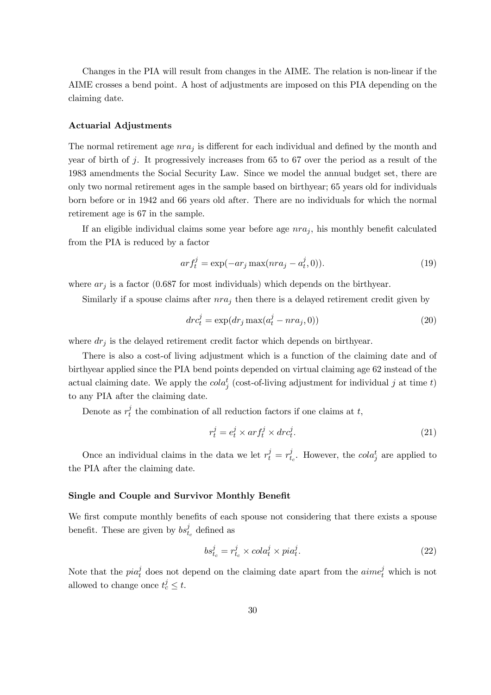Changes in the PIA will result from changes in the AIME. The relation is non-linear if the AIME crosses a bend point. A host of adjustments are imposed on this PIA depending on the claiming date.

#### Actuarial Adjustments

The normal retirement age  $nra_j$  is different for each individual and defined by the month and year of birth of  $j$ . It progressively increases from 65 to 67 over the period as a result of the 1983 amendments the Social Security Law. Since we model the annual budget set, there are only two normal retirement ages in the sample based on birthyear; 65 years old for individuals born before or in 1942 and 66 years old after. There are no individuals for which the normal retirement age is 67 in the sample.

If an eligible individual claims some year before age  $nra_j$ , his monthly benefit calculated from the PIA is reduced by a factor

$$
arf_t^j = \exp(-ar_j \max(nra_j - a_t^j, 0)).\tag{19}
$$

where  $ar_j$  is a factor (0.687 for most individuals) which depends on the birthyear.

Similarly if a spouse claims after  $nra_j$  then there is a delayed retirement credit given by

$$
drc_t^j = \exp(dr_j \max(a_t^j - nra_j, 0))
$$
\n(20)

where  $dr_j$  is the delayed retirement credit factor which depends on birthyear.

There is also a cost-of living adjustment which is a function of the claiming date and of birthyear applied since the PIA bend points depended on virtual claiming age 62 instead of the actual claiming date. We apply the  $\text{cola}_{i}^{t}$  (cost-of-living adjustment for individual j at time t) to any PIA after the claiming date.

Denote as  $r_t^j$  the combination of all reduction factors if one claims at t,

$$
r_t^j = e_t^j \times arf_t^j \times drc_t^j.
$$
\n(21)

Once an individual claims in the data we let  $r_t^j = r_{t_c}^j$ . However, the cola<sub>j</sub> are applied to the PIA after the claiming date.

#### Single and Couple and Survivor Monthly Benefit

We first compute monthly benefits of each spouse not considering that there exists a spouse benefit. These are given by  $bs_{t_c}^j$  defined as

$$
bs_{t_c}^j = r_{t_c}^j \times cola_t^j \times pia_t^j.
$$
\n
$$
(22)
$$

Note that the  $pia_t^j$  does not depend on the claiming date apart from the  $aime_t^j$  which is not allowed to change once  $t_c^j \leq t$ .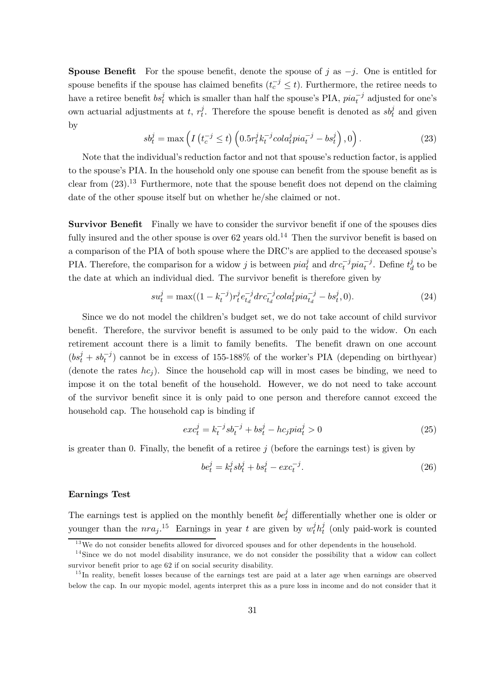**Spouse Benefit** For the spouse benefit, denote the spouse of j as  $-j$ . One is entitled for spouse benefits if the spouse has claimed benefits  $(t_c^{-j} \le t)$ . Furthermore, the retiree needs to have a retiree benefit  $bs_t^j$  which is smaller than half the spouse's PIA,  $pia_t^{-j}$  adjusted for one's own actuarial adjustments at t,  $r_t^j$ . Therefore the spouse benefit is denoted as  $s b_t^j$  and given by

$$
sb_t^j = \max\left(I\left(t_c^{-j} \le t\right) \left(0.5r_t^j k_t^{-j} \operatorname{col} a_t^j p i a_t^{-j} - bs_t^j\right), 0\right). \tag{23}
$$

Note that the individual's reduction factor and not that spouse's reduction factor, is applied to the spouse's PIA. In the household only one spouse can benefit from the spouse benefit as is clear from  $(23)$ .<sup>13</sup> Furthermore, note that the spouse benefit does not depend on the claiming date of the other spouse itself but on whether he/she claimed or not.

Survivor Benefit Finally we have to consider the survivor benefit if one of the spouses dies fully insured and the other spouse is over  $62$  years old.<sup>14</sup> Then the survivor benefit is based on a comparison of the PIA of both spouse where the DRC's are applied to the deceased spouse's PIA. Therefore, the comparison for a widow j is between  $pi_q^j$  and  $dr c_t^{-j} p i a_t^{-j}$ . Define  $t_d^j$  to be the date at which an individual died. The survivor benefit is therefore given by

$$
su_t^j = \max((1 - k_t^{-j})r_t^j e_{t_d}^{-j} dr c_{t_d}^{-j} col a_t^j p i a_{t_d}^{-j} - b s_t^j, 0).
$$
\n(24)

Since we do not model the children's budget set, we do not take account of child survivor benefit. Therefore, the survivor benefit is assumed to be only paid to the widow. On each retirement account there is a limit to family benefits. The benefit drawn on one account  $(bs_t^j + sb_t^{-j})$  cannot be in excess of 155-188% of the worker's PIA (depending on birthyear) (denote the rates  $hc_i$ ). Since the household cap will in most cases be binding, we need to impose it on the total benefit of the household. However, we do not need to take account of the survivor benefit since it is only paid to one person and therefore cannot exceed the household cap. The household cap is binding if

$$
exc_t^j = k_t^{-j} s b_t^{-j} + b s_t^j - h c_j p i a_t^j > 0
$$
\n(25)

is greater than 0. Finally, the benefit of a retiree  $j$  (before the earnings test) is given by

$$
be_t^j = k_t^j sb_t^j + bs_t^j - exc_t^{-j}.
$$
\n(26)

#### Earnings Test

The earnings test is applied on the monthly benefit  $be_t^j$  differentially whether one is older or younger than the  $nra_j$ .<sup>15</sup> Earnings in year t are given by  $w_t^j h_t^j$  (only paid-work is counted

<sup>&</sup>lt;sup>13</sup>We do not consider benefits allowed for divorced spouses and for other dependents in the household.

<sup>&</sup>lt;sup>14</sup>Since we do not model disability insurance, we do not consider the possibility that a widow can collect survivor benefit prior to age 62 if on social security disability.

<sup>&</sup>lt;sup>15</sup>In reality, benefit losses because of the earnings test are paid at a later age when earnings are observed below the cap. In our myopic model, agents interpret this as a pure loss in income and do not consider that it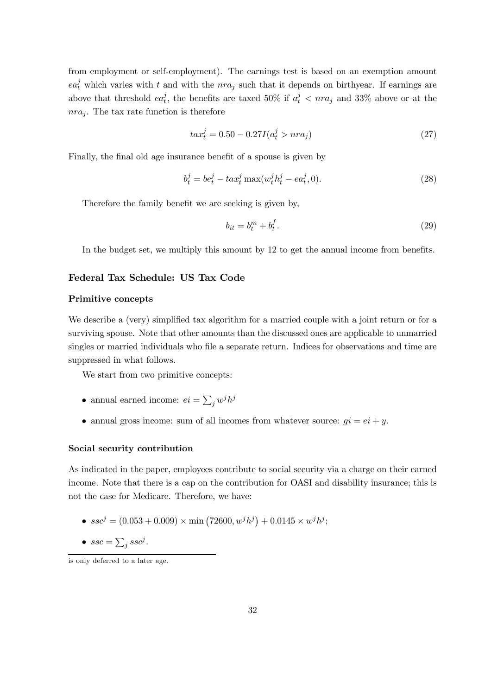from employment or self-employment). The earnings test is based on an exemption amount  $ea_t^j$  which varies with t and with the  $nra_j$  such that it depends on birthyear. If earnings are above that threshold  $ea_t^j$ , the benefits are taxed 50% if  $a_t^j < nra_j$  and 33% above or at the  $nra<sub>j</sub>$ . The tax rate function is therefore

$$
tax_t^j = 0.50 - 0.27I(a_t^j > nra_j)
$$
\n(27)

Finally, the final old age insurance benefit of a spouse is given by

$$
b_t^j = be_t^j - tax_t^j \max(w_t^j h_t^j - ea_t^j, 0).
$$
 (28)

Therefore the family benefit we are seeking is given by,

$$
b_{it} = b_t^m + b_t^f. \tag{29}
$$

In the budget set, we multiply this amount by 12 to get the annual income from benefits.

#### Federal Tax Schedule: US Tax Code

#### Primitive concepts

We describe a (very) simplified tax algorithm for a married couple with a joint return or for a surviving spouse. Note that other amounts than the discussed ones are applicable to unmarried singles or married individuals who file a separate return. Indices for observations and time are suppressed in what follows.

We start from two primitive concepts:

- annual earned income:  $ei = \sum_j w^j h^j$
- annual gross income: sum of all incomes from whatever source:  $qi = ei + y$ .

#### Social security contribution

As indicated in the paper, employees contribute to social security via a charge on their earned income. Note that there is a cap on the contribution for OASI and disability insurance; this is not the case for Medicare. Therefore, we have:

- $ssc^j = (0.053 + 0.009) \times \min(72600, w^j h^j) + 0.0145 \times w^j h^j;$
- $\textit{ssc} = \sum_{j} \textit{ssc}^j$ .

is only deferred to a later age.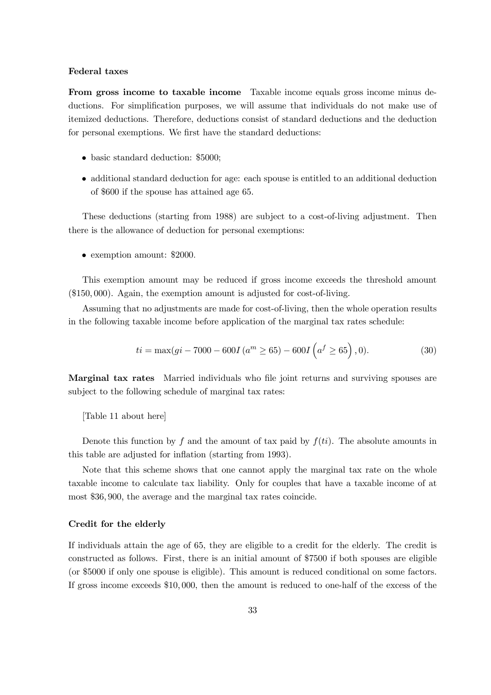#### Federal taxes

From gross income to taxable income Taxable income equals gross income minus deductions. For simplification purposes, we will assume that individuals do not make use of itemized deductions. Therefore, deductions consist of standard deductions and the deduction for personal exemptions. We first have the standard deductions:

- basic standard deduction: \$5000;
- additional standard deduction for age: each spouse is entitled to an additional deduction of \$600 if the spouse has attained age 65.

These deductions (starting from 1988) are subject to a cost-of-living adjustment. Then there is the allowance of deduction for personal exemptions:

• exemption amount: \$2000.

This exemption amount may be reduced if gross income exceeds the threshold amount (\$150, 000). Again, the exemption amount is adjusted for cost-of-living.

Assuming that no adjustments are made for cost-of-living, then the whole operation results in the following taxable income before application of the marginal tax rates schedule:

$$
ti = \max(gi - 7000 - 600I)(am \ge 65) - 600I\left(af \ge 65\right), 0).
$$
 (30)

Marginal tax rates Married individuals who file joint returns and surviving spouses are subject to the following schedule of marginal tax rates:

[Table 11 about here]

Denote this function by f and the amount of tax paid by  $f(ti)$ . The absolute amounts in this table are adjusted for inflation (starting from 1993).

Note that this scheme shows that one cannot apply the marginal tax rate on the whole taxable income to calculate tax liability. Only for couples that have a taxable income of at most \$36, 900, the average and the marginal tax rates coincide.

#### Credit for the elderly

If individuals attain the age of 65, they are eligible to a credit for the elderly. The credit is constructed as follows. First, there is an initial amount of \$7500 if both spouses are eligible (or \$5000 if only one spouse is eligible). This amount is reduced conditional on some factors. If gross income exceeds \$10, 000, then the amount is reduced to one-half of the excess of the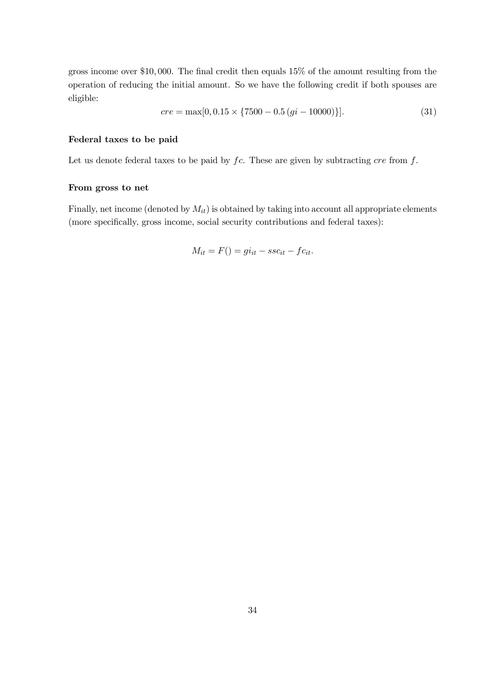gross income over \$10, 000. The final credit then equals 15% of the amount resulting from the operation of reducing the initial amount. So we have the following credit if both spouses are eligible:

$$
cre = \max[0, 0.15 \times \{7500 - 0.5(gi - 10000)\}].
$$
\n(31)

#### Federal taxes to be paid

Let us denote federal taxes to be paid by  $fc$ . These are given by subtracting  $cre$  from  $f$ .

#### From gross to net

Finally, net income (denoted by  $M_{it}$ ) is obtained by taking into account all appropriate elements (more specifically, gross income, social security contributions and federal taxes):

$$
M_{it} = F() = gi_{it} - ssc_{it} - fc_{it}.
$$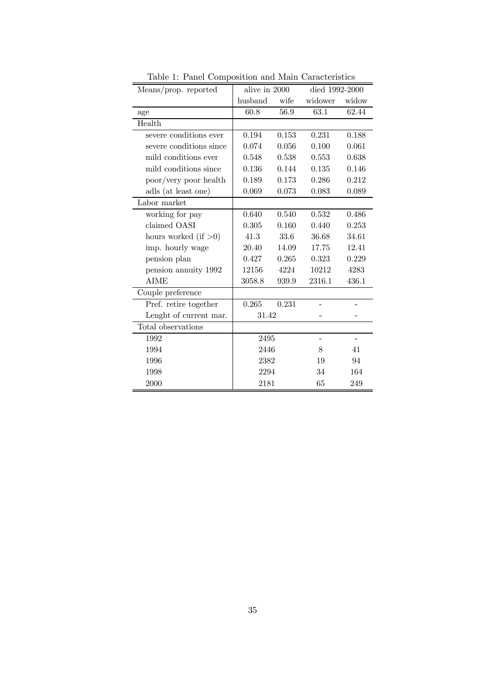| Means/prop. reported    | alive in 2000 |       | died 1992-2000    |       |
|-------------------------|---------------|-------|-------------------|-------|
|                         | husband       | wife  | widower           | widow |
| age                     | 60.8          | 56.9  | 63.1              | 62.44 |
| Health                  |               |       |                   |       |
| severe conditions ever  | 0.194         | 0.153 | 0.231             | 0.188 |
| severe conditions since | 0.074         | 0.056 | 0.100             | 0.061 |
| mild conditions ever    | 0.548         | 0.538 | 0.553             | 0.638 |
| mild conditions since   | 0.136         | 0.144 | 0.135             | 0.146 |
| poor/very poor health   | 0.189         | 0.173 | 0.286             | 0.212 |
| adls (at least one)     | 0.069         | 0.073 | 0.083             | 0.089 |
| Labor market            |               |       |                   |       |
| working for pay         | 0.640         | 0.540 | 0.532             | 0.486 |
| claimed OASI            | 0.305         | 0.160 | 0.440             | 0.253 |
| hours worked (if $>0$ ) | 41.3          | 33.6  | 36.68             | 34.61 |
| imp. hourly wage        | 20.40         | 14.09 | 17.75             | 12.41 |
| pension plan            | 0.427         | 0.265 | 0.323             | 0.229 |
| pension annuity 1992    | 12156         | 4224  | 10212             | 4283  |
| <b>AIME</b>             | 3058.8        | 939.9 | 2316.1            | 436.1 |
| Couple preference       |               |       |                   |       |
| Pref. retire together   | 0.265         | 0.231 |                   |       |
| Lenght of current mar.  | 31.42         |       |                   |       |
| Total observations      |               |       |                   |       |
| 1992                    | 2495          |       | $\qquad \qquad -$ |       |
| 1994                    | 2446          |       | 8                 | 41    |
| 1996                    | 2382          |       | 19                | 94    |
| 1998                    | 2294          |       | 34                | 164   |
| 2000                    | 2181          |       | 65                | 249   |

Table 1: Panel Composition and Main Caracteristics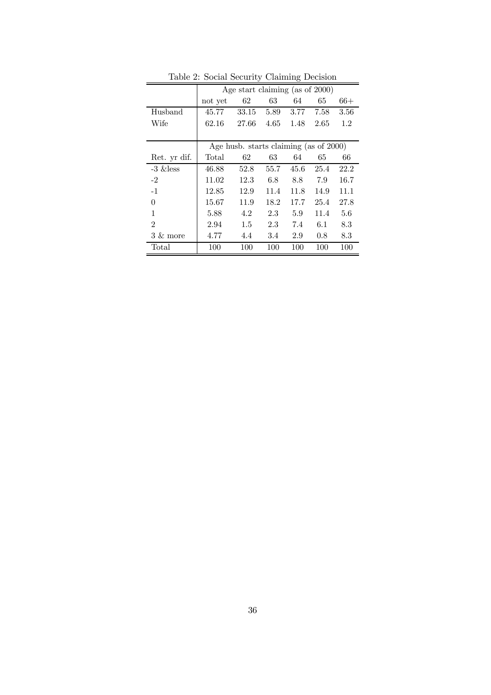|                     | Lable 2. Social Security Claiming Decision |                                           |         |      |      |      |
|---------------------|--------------------------------------------|-------------------------------------------|---------|------|------|------|
|                     |                                            | Age start claiming (as of 2000)           |         |      |      |      |
|                     | not yet                                    | 62                                        | 63      | 64   | 65   | 66+  |
| Husband             | 45.77                                      | 33.15                                     | 5.89    | 3.77 | 7.58 | 3.56 |
| Wife                | 62.16                                      | 27.66                                     | 4.65    | 1.48 | 2.65 | 1.2  |
|                     |                                            |                                           |         |      |      |      |
|                     |                                            | Age husb. starts claiming (as of $2000$ ) |         |      |      |      |
| Ret. yr dif.        | Total                                      | 62                                        | 63      | 64   | 65   | 66   |
| $-3 \&$ less        | 46.88                                      | 52.8                                      | 55.7    | 45.6 | 25.4 | 22.2 |
| $-2$                | 11.02                                      | 12.3                                      | 6.8     | 8.8  | 7.9  | 16.7 |
| $-1$                | 12.85                                      | 12.9                                      | 11.4    | 11.8 | 14.9 | 11.1 |
| 0                   | 15.67                                      | 11.9                                      | 18.2    | 17.7 | 25.4 | 27.8 |
| 1                   | 5.88                                       | 4.2                                       | $2.3\,$ | 5.9  | 11.4 | 5.6  |
| $\overline{2}$      | 2.94                                       | 1.5                                       | 2.3     | 7.4  | 6.1  | 8.3  |
| $3 \& \text{ more}$ | 4.77                                       | 4.4                                       | 3.4     | 2.9  | 0.8  | 8.3  |
| Total               | 100                                        | 100                                       | 100     | 100  | 100  | 100  |

Table 2: Social Security Claiming Decision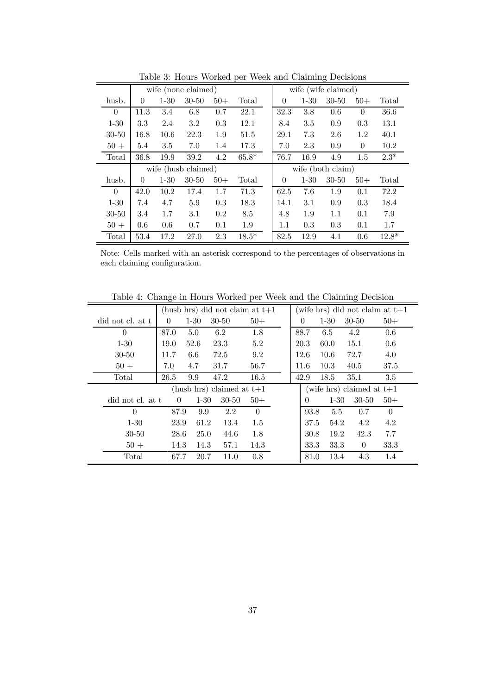|           |                |          |                     |         | rapio of trouts worked por week and claiming Decisions |          |          |                     |          |         |
|-----------|----------------|----------|---------------------|---------|--------------------------------------------------------|----------|----------|---------------------|----------|---------|
|           |                |          | wife (none claimed) |         |                                                        |          |          | wife (wife claimed) |          |         |
| husb.     | 0              | $1 - 30$ | $30 - 50$           | $50+$   | Total                                                  | $\theta$ | $1 - 30$ | $30 - 50$           | $50+$    | Total   |
| $\theta$  | 11.3           | 3.4      | 6.8                 | 0.7     | 22.1                                                   | 32.3     | 3.8      | $0.6\,$             | $\theta$ | 36.6    |
| $1 - 30$  | 3.3            | 2.4      | 3.2                 | 0.3     | 12.1                                                   | 8.4      | 3.5      | 0.9                 | 0.3      | 13.1    |
| $30 - 50$ | 16.8           | 10.6     | 22.3                | 1.9     | 51.5                                                   | 29.1     | 7.3      | 2.6                 | 1.2      | 40.1    |
| $50+$     | 5.4            | 3.5      | 7.0                 | 1.4     | 17.3                                                   | 7.0      | 2.3      | 0.9                 | $\theta$ | 10.2    |
| Total     | 36.8           | 19.9     | 39.2                | 4.2     | $65.8*$                                                | 76.7     | 16.9     | 4.9                 | 1.5      | $2.3*$  |
|           |                |          | wife (husb claimed) |         |                                                        |          |          | wife (both claim)   |          |         |
| husb.     | $\overline{0}$ | $1 - 30$ | $30 - 50$           | $50+$   | Total                                                  | $\Omega$ | $1 - 30$ | $30 - 50$           | $50+$    | Total   |
| $\Omega$  | 42.0           | 10.2     | 17.4                | 1.7     | 71.3                                                   | 62.5     | 7.6      | 1.9                 | 0.1      | 72.2    |
| $1 - 30$  | 7.4            | 4.7      | 5.9                 | 0.3     | 18.3                                                   | 14.1     | 3.1      | 0.9                 | 0.3      | 18.4    |
| $30 - 50$ | 3.4            | 1.7      | 3.1                 | $0.2\,$ | 8.5                                                    | 4.8      | 1.9      | 1.1                 | 0.1      | 7.9     |
| $50+$     | 0.6            | 0.6      | 0.7                 | 0.1     | 1.9                                                    | 1.1      | 0.3      | 0.3                 | 0.1      | 1.7     |
| Total     | 53.4           | 17.2     | 27.0                | 2.3     | $18.5*$                                                | 82.5     | 12.9     | 4.1                 | 0.6      | $12.8*$ |

Table 3: Hours Worked per Week and Claiming Decisions

Note: Cells marked with an asterisk correspond to the percentages of observations in each claiming configuration.

Table 4: Change in Hours Worked per Week and the Claiming Decision

|                  |          |          | (husb hrs) did not claim at $t+1$ |          |  |          |          | (wife hrs) did not claim at $t+1$ |          |  |
|------------------|----------|----------|-----------------------------------|----------|--|----------|----------|-----------------------------------|----------|--|
| did not cl. at t | $\Omega$ | $1 - 30$ | $30 - 50$                         | $50+$    |  | 0        | $1 - 30$ | $30 - 50$                         | $50+$    |  |
| $\theta$         | 87.0     | 5.0      | 6.2                               | 1.8      |  | 88.7     | 6.5      | 4.2                               | 0.6      |  |
| $1 - 30$         | 19.0     | 52.6     | 23.3                              | 5.2      |  | 20.3     | 60.0     | 15.1                              | 0.6      |  |
| $30 - 50$        | 11.7     | 6.6      | 72.5                              | 9.2      |  | 12.6     | 10.6     | 72.7                              | 4.0      |  |
| $50+$            | 7.0      | 4.7      | 31.7                              | 56.7     |  | 11.6     | 10.3     | 40.5                              | 37.5     |  |
| Total            | 26.5     | 9.9      | 47.2                              | 16.5     |  | 42.9     | 18.5     | 35.1                              | 3.5      |  |
|                  |          |          | (husb hrs) claimed at $t+1$       |          |  |          |          | (wife hrs) claimed at $t+1$       |          |  |
| did not cl. at t | $\left($ | $1 - 30$ | $30 - 50$                         | $50+$    |  | $\theta$ | $1 - 30$ | $30-50$                           | $50+$    |  |
| $\Omega$         | 87.9     | 9.9      | 2.2                               | $\theta$ |  | 93.8     | 5.5      | 0.7                               | $\theta$ |  |
| $1 - 30$         | 23.9     | 61.2     | 13.4                              | 1.5      |  | 37.5     | 54.2     | 4.2                               | 4.2      |  |
| $30 - 50$        | 28.6     | 25.0     | 44.6                              | 1.8      |  | 30.8     | 19.2     | 42.3                              | 7.7      |  |
| $50+$            | 14.3     | 14.3     | 57.1                              | 14.3     |  | 33.3     | 33.3     | $\theta$                          | 33.3     |  |
| Total            | 67.7     | 20.7     | 11.0                              | 0.8      |  | 81.0     | 13.4     | 4.3                               | 1.4      |  |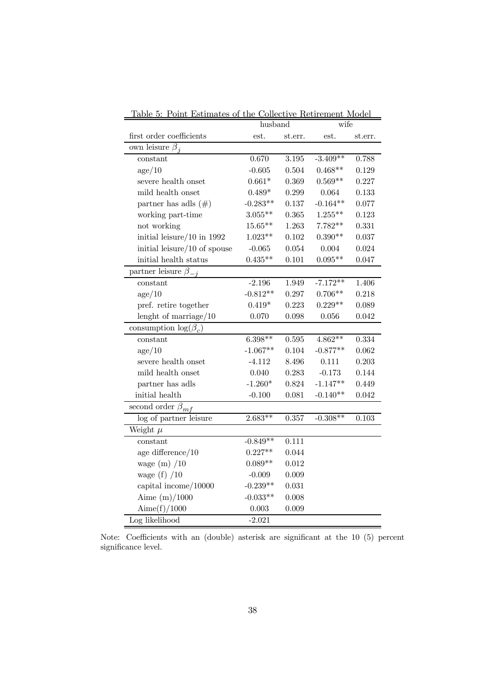|                               | husband    |         | wife       |         |
|-------------------------------|------------|---------|------------|---------|
| first order coefficients      | est.       | st.err. | est.       | st.err. |
| own leisure $\beta_i$         |            |         |            |         |
| constant                      | 0.670      | 3.195   | $-3.409**$ | 0.788   |
| $\rm age/10$                  | $-0.605$   | 0.504   | $0.468**$  | 0.129   |
| severe health onset           | $0.661*$   | 0.369   | $0.569**$  | 0.227   |
| mild health onset             | $0.489*$   | 0.299   | 0.064      | 0.133   |
| partner has adls $(\#)$       | $-0.283**$ | 0.137   | $-0.164**$ | 0.077   |
| working part-time             | $3.055**$  | 0.365   | $1.255***$ | 0.123   |
| not working                   | $15.65**$  | 1.263   | $7.782**$  | 0.331   |
| initial leisure/ $10$ in 1992 | $1.023**$  | 0.102   | $0.390**$  | 0.037   |
| initial leisure/10 of spouse  | $-0.065$   | 0.054   | 0.004      | 0.024   |
| initial health status         | $0.435**$  | 0.101   | $0.095**$  | 0.047   |
| partner leisure $\beta$ .     |            |         |            |         |
| constant                      | $-2.196$   | 1.949   | $-7.172**$ | 1.406   |
| $\rm age/10$                  | $-0.812**$ | 0.297   | $0.706**$  | 0.218   |
| pref. retire together         | $0.419*$   | 0.223   | $0.229**$  | 0.089   |
| lenght of marriage/10         | 0.070      | 0.098   | 0.056      | 0.042   |
| consumption $\log(\beta_c)$   |            |         |            |         |
| constant                      | $6.398**$  | 0.595   | $4.862**$  | 0.334   |
| age/10                        | $-1.067**$ | 0.104   | $-0.877**$ | 0.062   |
| severe health onset           | $-4.112$   | 8.496   | 0.111      | 0.203   |
| mild health onset             | 0.040      | 0.283   | $-0.173$   | 0.144   |
| partner has adls              | $-1.260*$  | 0.824   | $-1.147**$ | 0.449   |
| initial health                | $-0.100$   | 0.081   | $-0.140**$ | 0.042   |
| second order $\beta_{mf}$     |            |         |            |         |
| log of partner leisure        | $2.683**$  | 0.357   | $-0.308**$ | 0.103   |
| Weight $\mu$                  |            |         |            |         |
| constant                      | $-0.849**$ | 0.111   |            |         |
| age difference/ $10$          | $0.227**$  | 0.044   |            |         |
| wage $(m)$ /10                | $0.089**$  | 0.012   |            |         |
| wage $(f)$ /10                | $-0.009$   | 0.009   |            |         |
| capital income/10000          | $-0.239**$ | 0.031   |            |         |
| Aime $(m)/1000$               | $-0.033**$ | 0.008   |            |         |
| Aime $(f)/1000$               | 0.003      | 0.009   |            |         |
| Log likelihood                | $-2.021$   |         |            |         |

Table 5: Point Estimates of the Collective Retirement Model

Note: Coefficients with an (double) asterisk are significant at the 10 (5) percent significance level.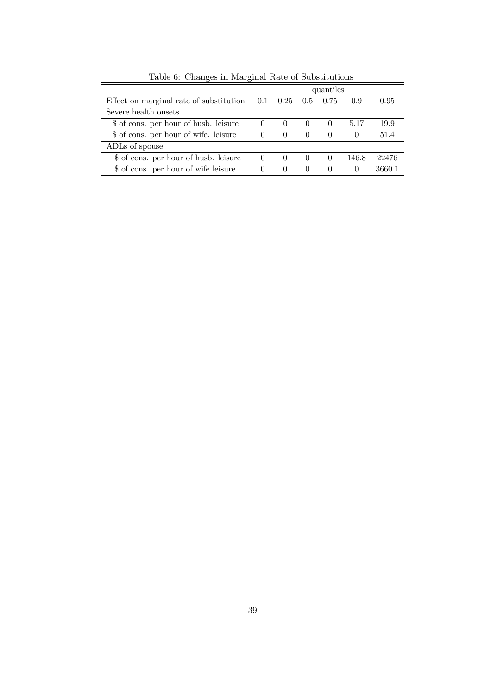|                                                    |          |          |                  | quantiles        |                  |        |
|----------------------------------------------------|----------|----------|------------------|------------------|------------------|--------|
| Effect on marginal rate of substitution $0.1$ 0.25 |          |          |                  | $0.5\quad 0.75$  | 0.9              | 0.95   |
| Severe health onsets                               |          |          |                  |                  |                  |        |
| \$ of cons. per hour of husb. leisure              | $\cup$   |          | $\theta$         | $\theta$         | 5.17             | 19.9   |
| \$ of cons. per hour of wife. leisure              | $\theta$ | $\theta$ | $\left( \right)$ | $\theta$         | $\left( \right)$ | 51.4   |
| ADLs of spouse                                     |          |          |                  |                  |                  |        |
| \$ of cons. per hour of husb. leisure              |          |          | $\theta$         | $\left( \right)$ | 146.8            | 22476  |
| \$ of cons. per hour of wife leisure               | $\theta$ | $\theta$ | $\theta$         | $\theta$         | $\theta$         | 3660.1 |

Table 6: Changes in Marginal Rate of Substitutions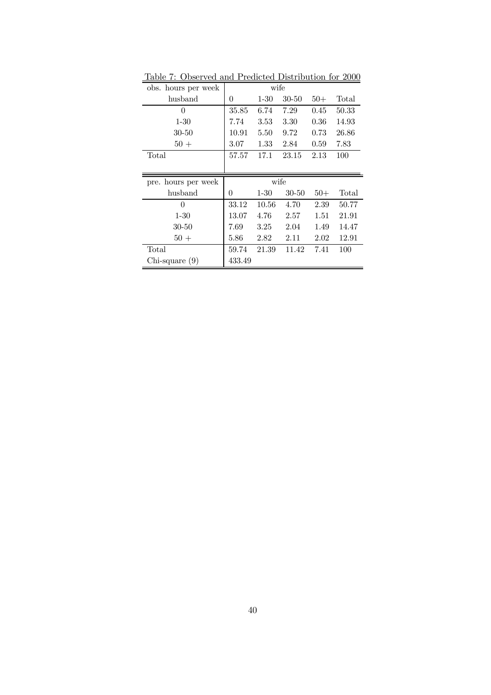| obs. hours per week |          | wife     |           |       |       |
|---------------------|----------|----------|-----------|-------|-------|
| husband             | 0        | $1 - 30$ | $30 - 50$ | $50+$ | Total |
| $\overline{0}$      | 35.85    | 6.74     | 7.29      | 0.45  | 50.33 |
| $1 - 30$            | 7.74     | 3.53     | 3.30      | 0.36  | 14.93 |
| $30 - 50$           | 10.91    | 5.50     | 9.72      | 0.73  | 26.86 |
| $50 +$              | 3.07     | 1.33     | 2.84      | 0.59  | 7.83  |
| Total               | 57.57    | 17.1     | 23.15     | 2.13  | 100   |
|                     |          |          |           |       |       |
|                     |          |          |           |       |       |
| pre. hours per week |          | wife     |           |       |       |
| husband             | $\theta$ | $1 - 30$ | $30 - 50$ | $50+$ | Total |
| $\theta$            | 33.12    | 10.56    | 4.70      | 2.39  | 50.77 |
| $1 - 30$            | 13.07    | 4.76     | 2.57      | 1.51  | 21.91 |
| 30-50               | 7.69     | 3.25     | 2.04      | 1.49  | 14.47 |
| $50 +$              | 5.86     | 2.82     | 2.11      | 2.02  | 12.91 |
| Total               | 59.74    | 21.39    | 11.42     | 7.41  | 100   |
| $Chi$ -square $(9)$ | 433.49   |          |           |       |       |

Table 7: Observed and Predicted Distribution for 2000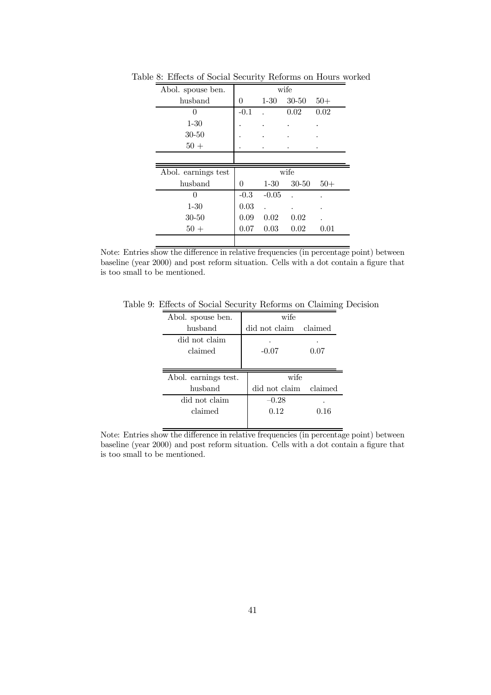| Abol. spouse ben.   |        |                      | wife      |       |
|---------------------|--------|----------------------|-----------|-------|
| husband             | 0      | $1-30$               | $30 - 50$ | $50+$ |
| $\Omega$            | $-0.1$ |                      | 0.02      | 0.02  |
| $1 - 30$            |        |                      |           |       |
| $30 - 50$           |        |                      |           |       |
| $50+$               |        |                      |           |       |
|                     |        |                      |           |       |
|                     |        |                      |           |       |
| Abol. earnings test |        |                      | wife      |       |
| husband             | 0      | $1 - 30$             | $30 - 50$ | $50+$ |
| 0                   | $-0.3$ | $-0.05$              |           |       |
| $1 - 30$            | 0.03   | $\ddot{\phantom{0}}$ |           |       |
| $30 - 50$           | 0.09   | 0.02                 | 0.02      |       |
| $50 +$              | 0.07   | 0.03                 | 0.02      | 0.01  |

Table 8: Effects of Social Security Reforms on Hours worked

Note: Entries show the difference in relative frequencies (in percentage point) between baseline (year 2000) and post reform situation. Cells with a dot contain a figure that is too small to be mentioned.

Table 9: Effects of Social Security Reforms on Claiming Decision

| Abol. spouse ben.    | wife          |         |
|----------------------|---------------|---------|
| husband              | did not claim | claimed |
| did not claim        |               |         |
| claimed              | $-0.07$       | 0.07    |
|                      |               |         |
|                      |               |         |
| Abol. earnings test. | wife          |         |
| husband              | did not claim | claimed |
| did not claim        | $-0.28$       |         |
| claimed              | 0.12          | 0.16    |

Note: Entries show the difference in relative frequencies (in percentage point) between baseline (year 2000) and post reform situation. Cells with a dot contain a figure that is too small to be mentioned.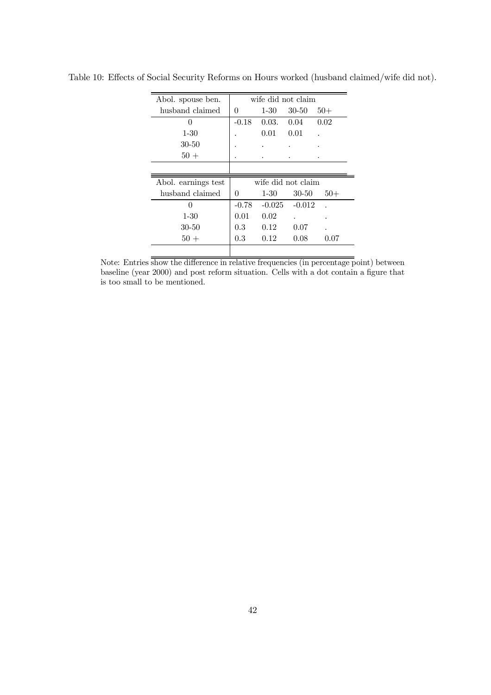| Abol. spouse ben.   |          |          | wife did not claim |       |
|---------------------|----------|----------|--------------------|-------|
| husband claimed     | $\theta$ | $1 - 30$ | 30-50              | $50+$ |
| 0                   | $-0.18$  | 0.03.    | 0.04               | 0.02  |
| $1 - 30$            |          | 0.01     | 0.01               |       |
| 30-50               |          |          |                    |       |
| $50+$               |          |          |                    |       |
|                     |          |          |                    |       |
|                     |          |          |                    |       |
| Abol. earnings test |          |          | wife did not claim |       |
| husband claimed     | $\Omega$ | $1 - 30$ | $30 - 50$          | $50+$ |
| 0                   | $-0.78$  | $-0.025$ | $-0.012$           |       |
| $1 - 30$            | 0.01     | 0.02     |                    |       |
| 30-50               | 0.3      | 0.12     | 0.07               |       |
| $50 +$              | $0.3\,$  | 0.12     | 0.08               | 0.07  |

Table 10: Effects of Social Security Reforms on Hours worked (husband claimed/wife did not).

Note: Entries show the difference in relative frequencies (in percentage point) between baseline (year 2000) and post reform situation. Cells with a dot contain a figure that is too small to be mentioned.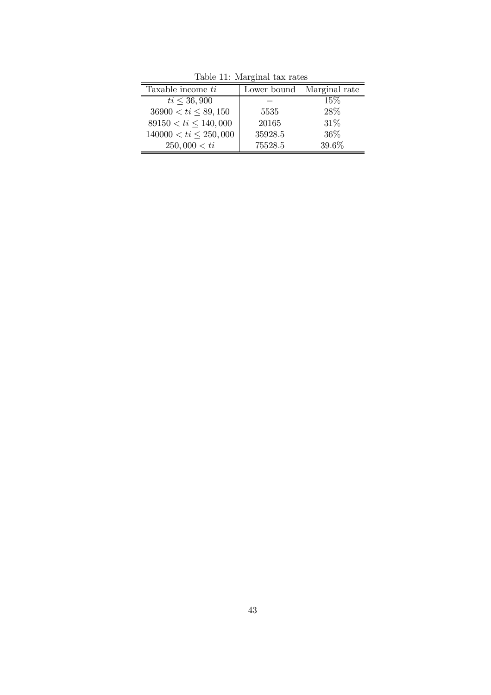|                            | Table II. Marginar tax rates |                           |  |  |  |  |  |
|----------------------------|------------------------------|---------------------------|--|--|--|--|--|
| Taxable income ti          |                              | Lower bound Marginal rate |  |  |  |  |  |
| $ti \leq 36,900$           |                              | 15%                       |  |  |  |  |  |
| $36900 < ti \leq 89,150$   | 5535                         | 28%                       |  |  |  |  |  |
| $89150 < ti \leq 140,000$  | 20165                        | 31%                       |  |  |  |  |  |
| $140000 < ti \leq 250,000$ | 35928.5                      | 36\%                      |  |  |  |  |  |
| 250,000 < ti               | 75528.5                      | 39.6%                     |  |  |  |  |  |

Table 11: Marginal tax rates